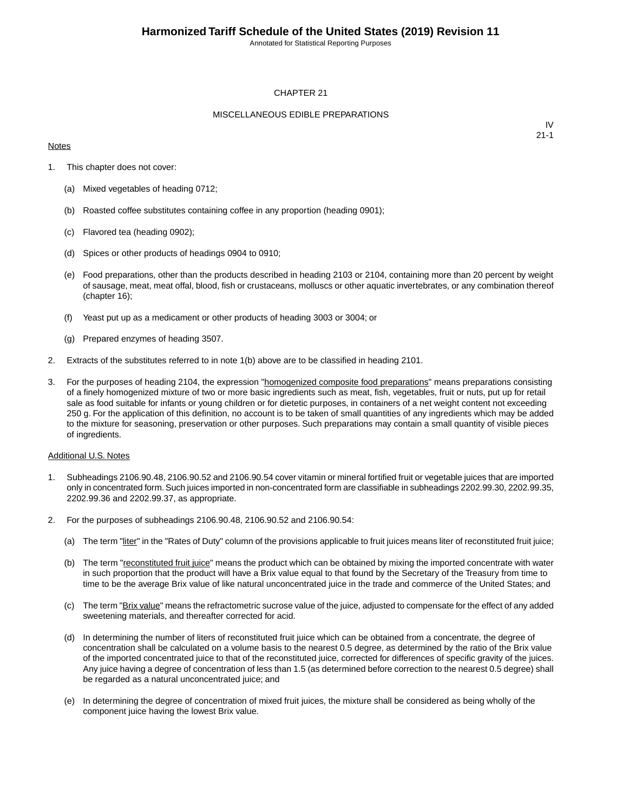Annotated for Statistical Reporting Purposes

#### CHAPTER 21

#### MISCELLANEOUS EDIBLE PREPARATIONS

#### **Notes**

IV 21-1

- 1. This chapter does not cover:
	- (a) Mixed vegetables of heading 0712;
	- (b) Roasted coffee substitutes containing coffee in any proportion (heading 0901);
	- (c) Flavored tea (heading 0902);
	- (d) Spices or other products of headings 0904 to 0910;
	- (e) Food preparations, other than the products described in heading 2103 or 2104, containing more than 20 percent by weight of sausage, meat, meat offal, blood, fish or crustaceans, molluscs or other aquatic invertebrates, or any combination thereof (chapter 16);
	- (f) Yeast put up as a medicament or other products of heading 3003 or 3004; or
	- (g) Prepared enzymes of heading 3507.
- 2. Extracts of the substitutes referred to in note 1(b) above are to be classified in heading 2101.
- 3. For the purposes of heading 2104, the expression "homogenized composite food preparations" means preparations consisting of a finely homogenized mixture of two or more basic ingredients such as meat, fish, vegetables, fruit or nuts, put up for retail sale as food suitable for infants or young children or for dietetic purposes, in containers of a net weight content not exceeding 250 g. For the application of this definition, no account is to be taken of small quantities of any ingredients which may be added to the mixture for seasoning, preservation or other purposes. Such preparations may contain a small quantity of visible pieces of ingredients.

#### Additional U.S. Notes

- 1. Subheadings 2106.90.48, 2106.90.52 and 2106.90.54 cover vitamin or mineral fortified fruit or vegetable juices that are imported only in concentrated form. Such juices imported in non-concentrated form are classifiable in subheadings 2202.99.30, 2202.99.35, 2202.99.36 and 2202.99.37, as appropriate.
- 2. For the purposes of subheadings 2106.90.48, 2106.90.52 and 2106.90.54:
	- (a) The term "liter" in the "Rates of Duty" column of the provisions applicable to fruit juices means liter of reconstituted fruit juice;
	- (b) The term "reconstituted fruit juice" means the product which can be obtained by mixing the imported concentrate with water in such proportion that the product will have a Brix value equal to that found by the Secretary of the Treasury from time to time to be the average Brix value of like natural unconcentrated juice in the trade and commerce of the United States; and
	- (c) The term "Brix value" means the refractometric sucrose value of the juice, adjusted to compensate for the effect of any added sweetening materials, and thereafter corrected for acid.
	- (d) In determining the number of liters of reconstituted fruit juice which can be obtained from a concentrate, the degree of concentration shall be calculated on a volume basis to the nearest 0.5 degree, as determined by the ratio of the Brix value of the imported concentrated juice to that of the reconstituted juice, corrected for differences of specific gravity of the juices. Any juice having a degree of concentration of less than 1.5 (as determined before correction to the nearest 0.5 degree) shall be regarded as a natural unconcentrated juice; and
	- (e) In determining the degree of concentration of mixed fruit juices, the mixture shall be considered as being wholly of the component juice having the lowest Brix value.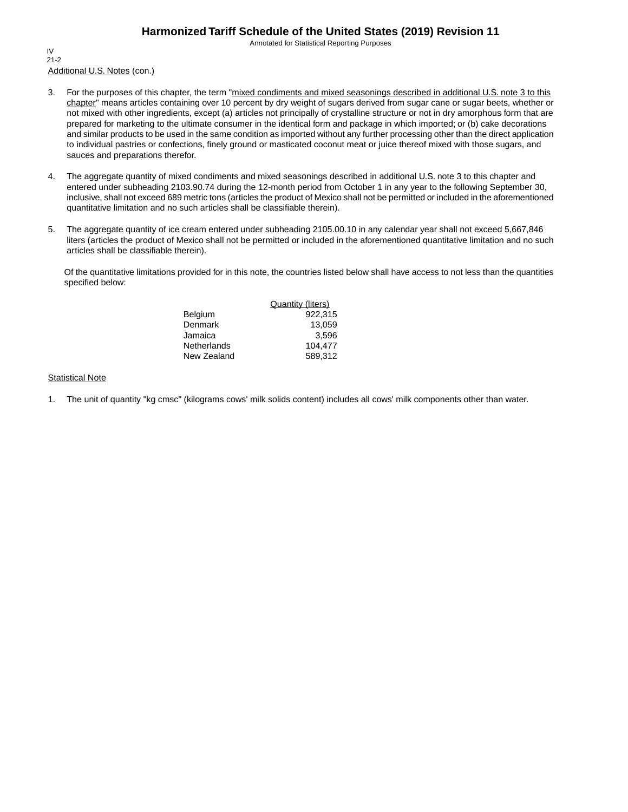Annotated for Statistical Reporting Purposes

Additional U.S. Notes (con.) IV 21-2

- 3. For the purposes of this chapter, the term "mixed condiments and mixed seasonings described in additional U.S. note 3 to this chapter" means articles containing over 10 percent by dry weight of sugars derived from sugar cane or sugar beets, whether or not mixed with other ingredients, except (a) articles not principally of crystalline structure or not in dry amorphous form that are prepared for marketing to the ultimate consumer in the identical form and package in which imported; or (b) cake decorations and similar products to be used in the same condition as imported without any further processing other than the direct application to individual pastries or confections, finely ground or masticated coconut meat or juice thereof mixed with those sugars, and sauces and preparations therefor.
- 4. The aggregate quantity of mixed condiments and mixed seasonings described in additional U.S. note 3 to this chapter and entered under subheading 2103.90.74 during the 12-month period from October 1 in any year to the following September 30, inclusive, shall not exceed 689 metric tons (articles the product of Mexico shall not be permitted or included in the aforementioned quantitative limitation and no such articles shall be classifiable therein).
- 5. The aggregate quantity of ice cream entered under subheading 2105.00.10 in any calendar year shall not exceed 5,667,846 liters (articles the product of Mexico shall not be permitted or included in the aforementioned quantitative limitation and no such articles shall be classifiable therein).

Of the quantitative limitations provided for in this note, the countries listed below shall have access to not less than the quantities specified below:

|                    | <b>Quantity (liters)</b> |
|--------------------|--------------------------|
| Belgium            | 922.315                  |
| Denmark            | 13.059                   |
| Jamaica            | 3.596                    |
| <b>Netherlands</b> | 104.477                  |
| New Zealand        | 589,312                  |

#### **Statistical Note**

1. The unit of quantity "kg cmsc" (kilograms cows' milk solids content) includes all cows' milk components other than water.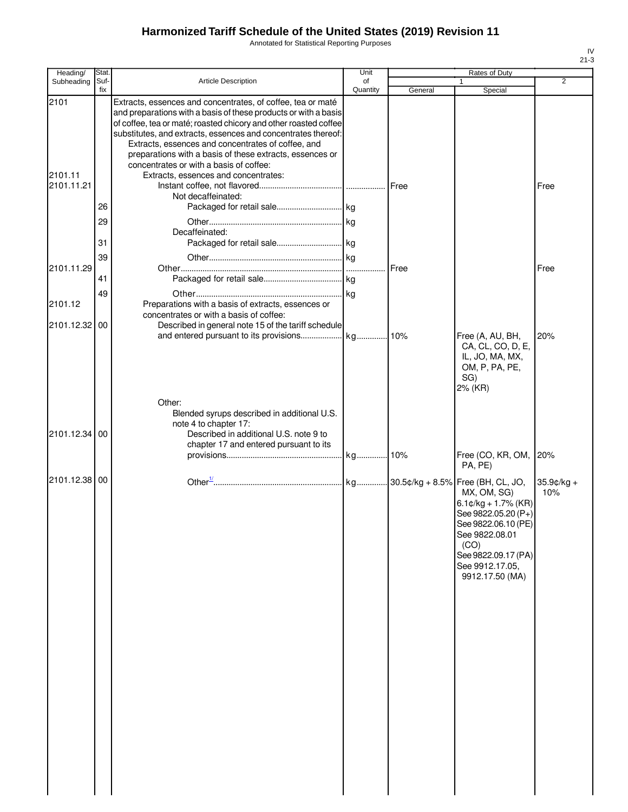Annotated for Statistical Reporting Purposes

| Heading/              | Stat.          |                                                                                                                                                                                                                                                                                                                                                                                       | Unit           |         | Rates of Duty                                                                                                                                                                                  |                      |
|-----------------------|----------------|---------------------------------------------------------------------------------------------------------------------------------------------------------------------------------------------------------------------------------------------------------------------------------------------------------------------------------------------------------------------------------------|----------------|---------|------------------------------------------------------------------------------------------------------------------------------------------------------------------------------------------------|----------------------|
| Subheading            | Suf-<br>fix    | Article Description                                                                                                                                                                                                                                                                                                                                                                   | of<br>Quantity | General | 1<br>Special                                                                                                                                                                                   | $\overline{2}$       |
| 2101                  |                | Extracts, essences and concentrates, of coffee, tea or maté<br>and preparations with a basis of these products or with a basis<br>of coffee, tea or maté; roasted chicory and other roasted coffee<br>substitutes, and extracts, essences and concentrates thereof:<br>Extracts, essences and concentrates of coffee, and<br>preparations with a basis of these extracts, essences or |                |         |                                                                                                                                                                                                |                      |
| 2101.11<br>2101.11.21 |                | concentrates or with a basis of coffee:<br>Extracts, essences and concentrates:<br>Not decaffeinated:                                                                                                                                                                                                                                                                                 |                |         |                                                                                                                                                                                                | Free                 |
|                       | 26<br>29<br>31 | Decaffeinated:<br>Packaged for retail sale kg                                                                                                                                                                                                                                                                                                                                         |                |         |                                                                                                                                                                                                |                      |
| 2101.11.29            | 39<br>41       |                                                                                                                                                                                                                                                                                                                                                                                       |                | Free    |                                                                                                                                                                                                | Free                 |
| 2101.12<br>2101.12.32 | 49<br>00       | Preparations with a basis of extracts, essences or<br>concentrates or with a basis of coffee:<br>Described in general note 15 of the tariff schedule                                                                                                                                                                                                                                  |                |         |                                                                                                                                                                                                |                      |
|                       |                |                                                                                                                                                                                                                                                                                                                                                                                       |                |         | Free (A, AU, BH,<br>CA, CL, CO, D, E,<br>IL, JO, MA, MX,<br>OM, P, PA, PE,<br>SG)<br>2% (KR)                                                                                                   | 20%                  |
| 2101.12.34            | -00            | Other:<br>Blended syrups described in additional U.S.<br>note 4 to chapter 17:<br>Described in additional U.S. note 9 to<br>chapter 17 and entered pursuant to its                                                                                                                                                                                                                    |                |         | Free (CO, KR, OM,<br>PA, PE)                                                                                                                                                                   | 20%                  |
| 2101.12.38            | 00             |                                                                                                                                                                                                                                                                                                                                                                                       |                |         | MX, OM, SG)<br>6.1 $\mathfrak{c}/\mathsf{kg}$ + 1.7% (KR)<br>See 9822.05.20 (P+)<br>See 9822.06.10 (PE)<br>See 9822.08.01<br>(CO)<br>See 9822.09.17 (PA)<br>See 9912.17.05,<br>9912.17.50 (MA) | $35.9$ ¢/kg +<br>10% |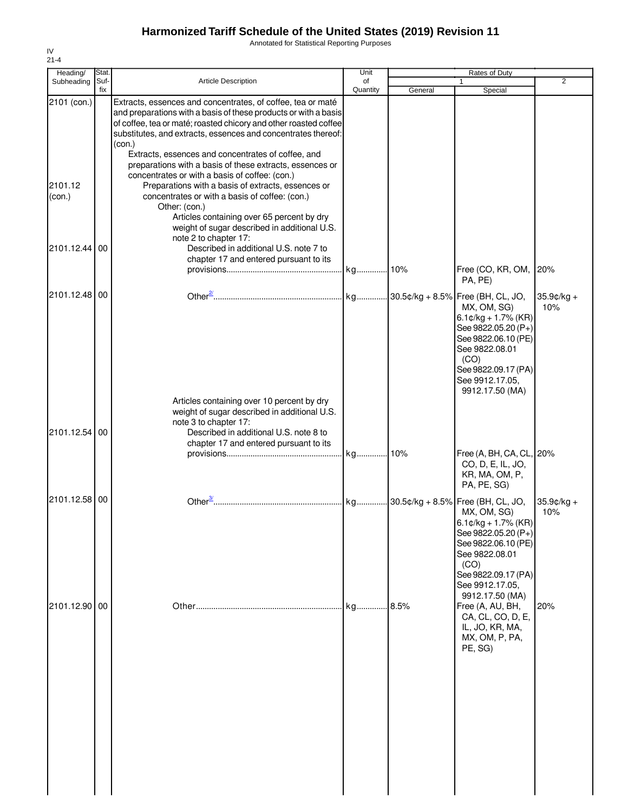Annotated for Statistical Reporting Purposes

| $21 - 4$               |               |                                                                                                                                                                                                                                                                                                                                                                                                 |            |         |                                                                                                                                                                            |                   |
|------------------------|---------------|-------------------------------------------------------------------------------------------------------------------------------------------------------------------------------------------------------------------------------------------------------------------------------------------------------------------------------------------------------------------------------------------------|------------|---------|----------------------------------------------------------------------------------------------------------------------------------------------------------------------------|-------------------|
| Heading/<br>Subheading | Stat.<br>Suf- | <b>Article Description</b>                                                                                                                                                                                                                                                                                                                                                                      | Unit<br>of |         | Rates of Duty                                                                                                                                                              | 2                 |
|                        | fix           |                                                                                                                                                                                                                                                                                                                                                                                                 | Quantity   | General | Special                                                                                                                                                                    |                   |
| 2101 (con.)            |               | Extracts, essences and concentrates, of coffee, tea or maté<br>and preparations with a basis of these products or with a basis<br>of coffee, tea or maté; roasted chicory and other roasted coffee<br>substitutes, and extracts, essences and concentrates thereof:<br>(con.)<br>Extracts, essences and concentrates of coffee, and<br>preparations with a basis of these extracts, essences or |            |         |                                                                                                                                                                            |                   |
| 2101.12<br>(con.)      |               | concentrates or with a basis of coffee: (con.)<br>Preparations with a basis of extracts, essences or<br>concentrates or with a basis of coffee: (con.)<br>Other: (con.)<br>Articles containing over 65 percent by dry<br>weight of sugar described in additional U.S.                                                                                                                           |            |         |                                                                                                                                                                            |                   |
| 2101.12.44 00          |               | note 2 to chapter 17:<br>Described in additional U.S. note 7 to<br>chapter 17 and entered pursuant to its                                                                                                                                                                                                                                                                                       |            |         | Free (CO, KR, OM,<br>PA, PE)                                                                                                                                               | 20%               |
| 2101.12.48 00          |               |                                                                                                                                                                                                                                                                                                                                                                                                 |            |         | MX, OM, SG)<br>$6.1$ ¢/kg + 1.7% (KR)<br>See 9822.05.20 (P+)<br>See 9822.06.10 (PE)<br>See 9822.08.01<br>(CO)<br>See 9822.09.17 (PA)<br>See 9912.17.05,<br>9912.17.50 (MA) | 35.9¢/kg +<br>10% |
| 2101.12.54 00          |               | Articles containing over 10 percent by dry<br>weight of sugar described in additional U.S.<br>note 3 to chapter 17:<br>Described in additional U.S. note 8 to<br>chapter 17 and entered pursuant to its                                                                                                                                                                                         |            |         |                                                                                                                                                                            |                   |
|                        |               |                                                                                                                                                                                                                                                                                                                                                                                                 |            |         | Free (A, BH, CA, CL, 20%<br>CO, D, E, IL, JO,<br>KR, MA, OM, P,<br>PA, PE, SG)                                                                                             |                   |
| 2101.12.58 00          |               |                                                                                                                                                                                                                                                                                                                                                                                                 |            |         | MX, OM, SG)<br>$6.1$ ¢/kg + 1.7% (KR)<br>See 9822.05.20 (P+)<br>See 9822.06.10 (PE)<br>See 9822.08.01<br>(CO)<br>See 9822.09.17 (PA)<br>See 9912.17.05,<br>9912.17.50 (MA) | 35.9¢/kg +<br>10% |
| 2101.12.90 00          |               |                                                                                                                                                                                                                                                                                                                                                                                                 | kg         | .8.5%   | Free (A, AU, BH,<br>CA, CL, CO, D, E,<br>IL, JO, KR, MA,<br>MX, OM, P, PA,<br>PE, SG)                                                                                      | 20%               |

IV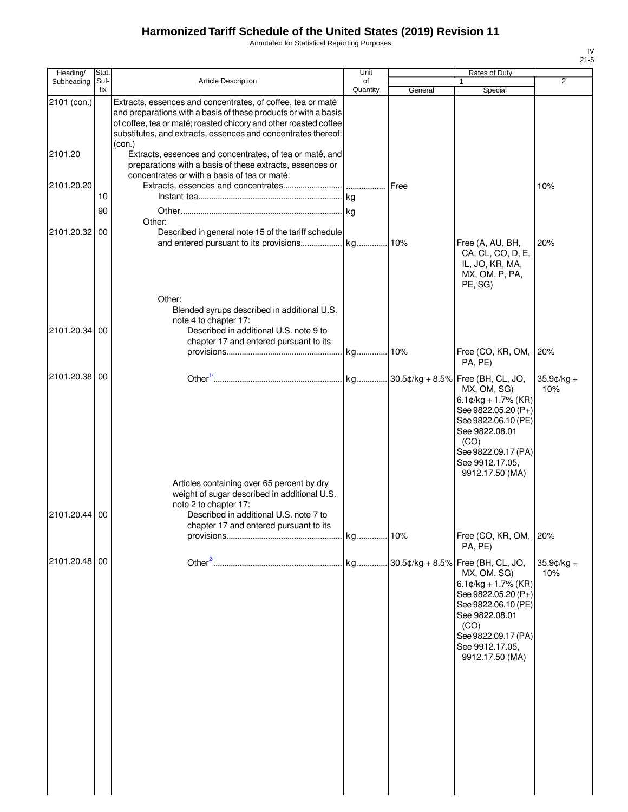Annotated for Statistical Reporting Purposes

| Heading/      | Stat.       |                                                                                                                                                                                                                                                                               | Unit           |         | Rates of Duty                                                                                                                                                                                                                       |                      |
|---------------|-------------|-------------------------------------------------------------------------------------------------------------------------------------------------------------------------------------------------------------------------------------------------------------------------------|----------------|---------|-------------------------------------------------------------------------------------------------------------------------------------------------------------------------------------------------------------------------------------|----------------------|
| Subheading    | Suf-<br>fix | <b>Article Description</b>                                                                                                                                                                                                                                                    | of<br>Quantity | General | 1<br>Special                                                                                                                                                                                                                        | 2                    |
| 2101 (con.)   |             | Extracts, essences and concentrates, of coffee, tea or maté<br>and preparations with a basis of these products or with a basis<br>of coffee, tea or maté; roasted chicory and other roasted coffee<br>substitutes, and extracts, essences and concentrates thereof:<br>(con.) |                |         |                                                                                                                                                                                                                                     |                      |
| 2101.20       |             | Extracts, essences and concentrates, of tea or maté, and<br>preparations with a basis of these extracts, essences or<br>concentrates or with a basis of tea or maté:                                                                                                          |                |         |                                                                                                                                                                                                                                     |                      |
| 2101.20.20    |             |                                                                                                                                                                                                                                                                               |                | Free    |                                                                                                                                                                                                                                     | 10%                  |
|               | 10<br>90    |                                                                                                                                                                                                                                                                               |                |         |                                                                                                                                                                                                                                     |                      |
|               |             | Other:                                                                                                                                                                                                                                                                        |                |         |                                                                                                                                                                                                                                     |                      |
| 2101.20.32    | 00          | Described in general note 15 of the tariff schedule                                                                                                                                                                                                                           |                |         | Free (A, AU, BH,<br>CA, CL, CO, D, E,<br>IL, JO, KR, MA,<br>MX, OM, P, PA,<br>PE, SG)                                                                                                                                               | 20%                  |
|               |             | Other:<br>Blended syrups described in additional U.S.<br>note 4 to chapter 17:                                                                                                                                                                                                |                |         |                                                                                                                                                                                                                                     |                      |
| 2101.20.34    | 00          | Described in additional U.S. note 9 to                                                                                                                                                                                                                                        |                |         |                                                                                                                                                                                                                                     |                      |
|               |             | chapter 17 and entered pursuant to its                                                                                                                                                                                                                                        |                |         | Free (CO, KR, OM,<br>PA, PE)                                                                                                                                                                                                        | 20%                  |
| 2101.20.38    | 00          |                                                                                                                                                                                                                                                                               |                |         | MX, OM, SG)<br>6.1¢/kg + 1.7% (KR)<br>See 9822.05.20 (P+)<br>See 9822.06.10 (PE)<br>See 9822.08.01<br>(CO)<br>See 9822.09.17 (PA)<br>See 9912.17.05,<br>9912.17.50 (MA)                                                             | $35.9¢/kg +$<br>10%  |
| 2101.20.44    | 00          | Articles containing over 65 percent by dry<br>weight of sugar described in additional U.S.<br>note 2 to chapter 17:<br>Described in additional U.S. note 7 to                                                                                                                 |                |         |                                                                                                                                                                                                                                     |                      |
|               |             | chapter 17 and entered pursuant to its                                                                                                                                                                                                                                        |                | 10%     | Free (CO, KR, OM,<br>PA, PE)                                                                                                                                                                                                        | 20%                  |
| 2101.20.48 00 |             |                                                                                                                                                                                                                                                                               |                |         | 30.5¢/kg + 8.5% Free (BH, CL, JO,<br>MX, OM, SG)<br>6.1 $\mathfrak{c}/\mathsf{kg}$ + 1.7% (KR)<br>See 9822.05.20 (P+)<br>See 9822.06.10 (PE)<br>See 9822.08.01<br>(CO)<br>See 9822.09.17 (PA)<br>See 9912.17.05,<br>9912.17.50 (MA) | $35.9$ ¢/kg +<br>10% |
|               |             |                                                                                                                                                                                                                                                                               |                |         |                                                                                                                                                                                                                                     |                      |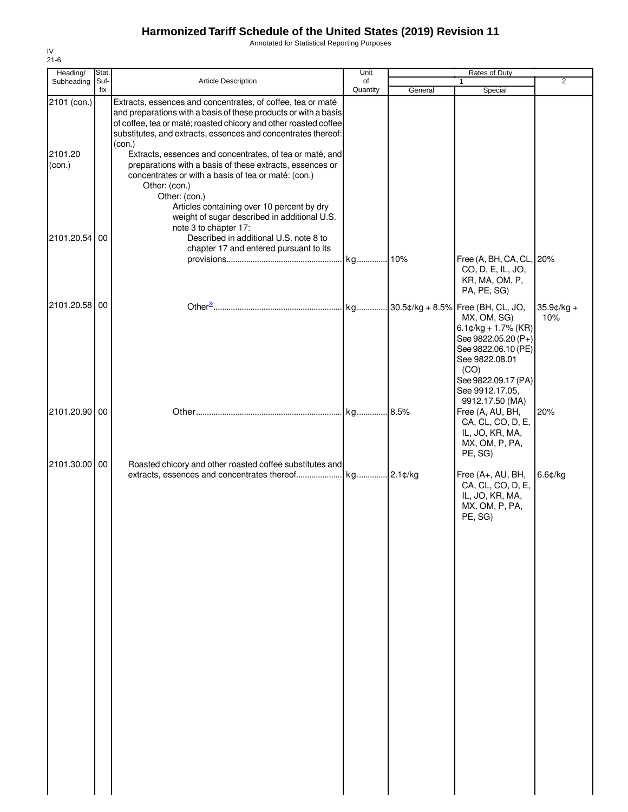Annotated for Statistical Reporting Purposes

| Heading/                         | Stat.       |                                                                                                                                                                                                                                                                                                                                                                                                                                                                                                                                                                                                                       | Unit           |         | Rates of Duty                                                                                                                                                                                  |                      |
|----------------------------------|-------------|-----------------------------------------------------------------------------------------------------------------------------------------------------------------------------------------------------------------------------------------------------------------------------------------------------------------------------------------------------------------------------------------------------------------------------------------------------------------------------------------------------------------------------------------------------------------------------------------------------------------------|----------------|---------|------------------------------------------------------------------------------------------------------------------------------------------------------------------------------------------------|----------------------|
| Subheading                       | Suf-<br>fix | <b>Article Description</b>                                                                                                                                                                                                                                                                                                                                                                                                                                                                                                                                                                                            | of<br>Quantity | General | 1<br>Special                                                                                                                                                                                   | 2                    |
| 2101 (con.)<br>2101.20<br>(con.) |             | Extracts, essences and concentrates, of coffee, tea or maté<br>and preparations with a basis of these products or with a basis<br>of coffee, tea or maté; roasted chicory and other roasted coffee<br>substitutes, and extracts, essences and concentrates thereof:<br>(con.)<br>Extracts, essences and concentrates, of tea or maté, and<br>preparations with a basis of these extracts, essences or<br>concentrates or with a basis of tea or maté: (con.)<br>Other: (con.)<br>Other: (con.)<br>Articles containing over 10 percent by dry<br>weight of sugar described in additional U.S.<br>note 3 to chapter 17: |                |         |                                                                                                                                                                                                |                      |
| 2101.20.54                       | 00          | Described in additional U.S. note 8 to<br>chapter 17 and entered pursuant to its                                                                                                                                                                                                                                                                                                                                                                                                                                                                                                                                      |                |         | Free (A, BH, CA, CL, 20%<br>CO, D, E, IL, JO,<br>KR, MA, OM, P,<br>PA, PE, SG)                                                                                                                 |                      |
| 2101.20.58 00                    |             |                                                                                                                                                                                                                                                                                                                                                                                                                                                                                                                                                                                                                       |                |         | MX, OM, SG)<br>6.1 $\mathfrak{c}/\mathsf{kg}$ + 1.7% (KR)<br>See 9822.05.20 (P+)<br>See 9822.06.10 (PE)<br>See 9822.08.01<br>(CO)<br>See 9822.09.17 (PA)<br>See 9912.17.05,<br>9912.17.50 (MA) | $35.9$ ¢/kg +<br>10% |
| 2101.20.90 00                    |             |                                                                                                                                                                                                                                                                                                                                                                                                                                                                                                                                                                                                                       |                |         | Free (A, AU, BH,<br>CA, CL, CO, D, E,<br>IL, JO, KR, MA,<br>MX, OM, P, PA,<br>PE, SG)                                                                                                          | 20%                  |
| 2101.30.00 00                    |             | Roasted chicory and other roasted coffee substitutes and                                                                                                                                                                                                                                                                                                                                                                                                                                                                                                                                                              |                |         | Free (A+, AU, BH,<br>CA, CL, CO, D, E,<br>IL, JO, KR, MA,<br>MX, OM, P, PA,<br>PE, SG)                                                                                                         | $6.6$ ¢/kg           |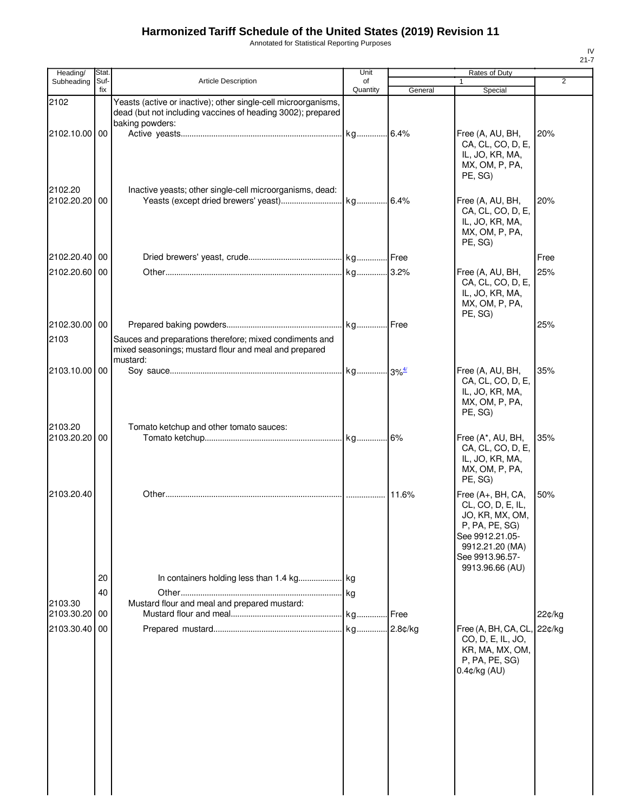Annotated for Statistical Reporting Purposes

| Heading/                 | Stat.       |                                                                                                                                                  | Unit           |         | Rates of Duty                                                                                                                                           |        |
|--------------------------|-------------|--------------------------------------------------------------------------------------------------------------------------------------------------|----------------|---------|---------------------------------------------------------------------------------------------------------------------------------------------------------|--------|
| Subheading               | Suf-<br>fix | <b>Article Description</b>                                                                                                                       | of<br>Quantity | General | 1<br>Special                                                                                                                                            | 2      |
| 2102                     |             | Yeasts (active or inactive); other single-cell microorganisms,<br>dead (but not including vaccines of heading 3002); prepared<br>baking powders: |                |         |                                                                                                                                                         |        |
| 2102.10.00 00            |             |                                                                                                                                                  |                |         | Free (A, AU, BH,<br>CA, CL, CO, D, E,<br>IL, JO, KR, MA,<br>MX, OM, P, PA,<br>PE. SG)                                                                   | 20%    |
| 2102.20<br>2102.20.20 00 |             | Inactive yeasts; other single-cell microorganisms, dead:                                                                                         |                |         | Free (A, AU, BH,<br>CA, CL, CO, D, E,<br>IL, JO, KR, MA,<br>MX, OM, P, PA,<br>PE, SG)                                                                   | 20%    |
| 2102.20.40 00            |             |                                                                                                                                                  |                |         |                                                                                                                                                         | Free   |
| 2102.20.60               | 00          |                                                                                                                                                  |                |         | Free (A, AU, BH,<br>CA, CL, CO, D, E,<br>IL, JO, KR, MA,<br>MX, OM, P, PA,<br>PE, SG)                                                                   | 25%    |
| 2102.30.00 00            |             |                                                                                                                                                  |                |         |                                                                                                                                                         | 25%    |
| 2103                     |             | Sauces and preparations therefore; mixed condiments and<br>mixed seasonings; mustard flour and meal and prepared<br>mustard:                     |                |         |                                                                                                                                                         |        |
| 2103.10.00 00            |             |                                                                                                                                                  |                |         | Free (A, AU, BH,<br>CA, CL, CO, D, E,<br>IL, JO, KR, MA,<br>MX, OM, P, PA,<br>PE, SG)                                                                   | 35%    |
| 2103.20<br>2103.20.20    | 00          | Tomato ketchup and other tomato sauces:                                                                                                          |                | 6%      | Free (A*, AU, BH,<br>CA, CL, CO, D, E,<br>IL, JO, KR, MA,<br>MX, OM, P, PA,<br>PE, SG)                                                                  | 35%    |
| 2103.20.40               |             |                                                                                                                                                  |                | 11.6%   | Free (A+, BH, CA,<br>CL, CO, D, E, IL,<br>JO, KR, MX, OM,<br>P, PA, PE, SG)<br>See 9912.21.05-<br>9912.21.20 (MA)<br>See 9913.96.57-<br>9913.96.66 (AU) | 50%    |
|                          | 20          |                                                                                                                                                  |                |         |                                                                                                                                                         |        |
|                          | 40          |                                                                                                                                                  |                |         |                                                                                                                                                         |        |
| 2103.30                  |             | Mustard flour and meal and prepared mustard:                                                                                                     |                |         |                                                                                                                                                         |        |
| 2103.30.20               | 00          |                                                                                                                                                  |                | Free    |                                                                                                                                                         | 22¢/kg |
| 2103.30.40               | 00          |                                                                                                                                                  |                |         | Free (A, BH, CA, CL, 22¢/kg<br>CO, D, E, IL, JO,<br>KR, MA, MX, OM,<br>P, PA, PE, SG)<br>0.4¢/kg (AU)                                                   |        |
|                          |             |                                                                                                                                                  |                |         |                                                                                                                                                         |        |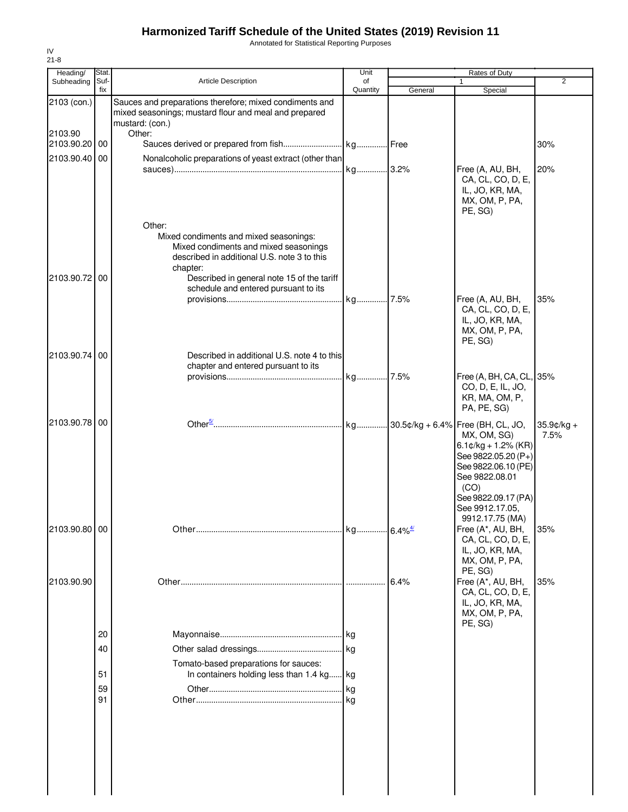Annotated for Statistical Reporting Purposes

| Heading/<br>Subheading | Stat.<br>Suf- | <b>Article Description</b>                                                                                                                                                                                                                 | Unit<br>of |         | Rates of Duty<br>$\mathbf{1}$                                                                                                                                                                   | $\overline{2}$        |
|------------------------|---------------|--------------------------------------------------------------------------------------------------------------------------------------------------------------------------------------------------------------------------------------------|------------|---------|-------------------------------------------------------------------------------------------------------------------------------------------------------------------------------------------------|-----------------------|
|                        | fix           |                                                                                                                                                                                                                                            | Quantity   | General | Special                                                                                                                                                                                         |                       |
| 2103 (con.)<br>2103.90 |               | Sauces and preparations therefore; mixed condiments and<br>mixed seasonings; mustard flour and meal and prepared<br>mustard: (con.)<br>Other:                                                                                              |            |         |                                                                                                                                                                                                 |                       |
| 2103.90.20 00          |               |                                                                                                                                                                                                                                            |            |         |                                                                                                                                                                                                 | 30%                   |
| 2103.90.40 00          |               | Nonalcoholic preparations of yeast extract (other than                                                                                                                                                                                     |            |         | Free (A, AU, BH,<br>CA, CL, CO, D, E,<br>IL, JO, KR, MA,<br>MX, OM, P, PA,<br>PE, SG)                                                                                                           | 20%                   |
| 2103.90.72 00          |               | Other:<br>Mixed condiments and mixed seasonings:<br>Mixed condiments and mixed seasonings<br>described in additional U.S. note 3 to this<br>chapter:<br>Described in general note 15 of the tariff<br>schedule and entered pursuant to its |            |         | Free (A, AU, BH,                                                                                                                                                                                | 35%                   |
| 2103.90.74             | 00            | Described in additional U.S. note 4 to this                                                                                                                                                                                                |            |         | CA, CL, CO, D, E,<br>IL, JO, KR, MA,<br>MX, OM, P, PA,<br>PE, SG)                                                                                                                               |                       |
|                        |               | chapter and entered pursuant to its                                                                                                                                                                                                        |            |         | Free (A, BH, CA, CL, 35%<br>CO, D, E, IL, JO,<br>KR, MA, OM, P,<br>PA, PE, SG)                                                                                                                  |                       |
| 2103.90.78 00          |               |                                                                                                                                                                                                                                            |            |         | Free (BH, CL, JO,<br>MX, OM, SG)<br>$6.1$ ¢/kg + 1.2% (KR)<br>See 9822.05.20 (P+)<br>See 9822.06.10 (PE)<br>See 9822.08.01<br>(CO)<br>See 9822.09.17 (PA)<br>See 9912.17.05,<br>9912.17.75 (MA) | $35.9$ ¢/kg +<br>7.5% |
| 2103.90.80 00          |               |                                                                                                                                                                                                                                            |            |         | Free (A*, AU, BH,<br>CA, CL, CO, D, E,<br>IL, JO, KR, MA,<br>MX, OM, P, PA,<br>PE, SG)                                                                                                          | 35%                   |
| 2103.90.90             |               |                                                                                                                                                                                                                                            |            | 6.4%    | Free (A*, AU, BH,<br>CA, CL, CO, D, E,<br>IL, JO, KR, MA,<br>MX, OM, P, PA,<br>PE, SG)                                                                                                          | 35%                   |
|                        | 20            |                                                                                                                                                                                                                                            |            |         |                                                                                                                                                                                                 |                       |
|                        | 40            |                                                                                                                                                                                                                                            |            |         |                                                                                                                                                                                                 |                       |
|                        |               | Tomato-based preparations for sauces:                                                                                                                                                                                                      |            |         |                                                                                                                                                                                                 |                       |
|                        | 51            | In containers holding less than 1.4 kg kg                                                                                                                                                                                                  |            |         |                                                                                                                                                                                                 |                       |
|                        | 59<br>91      |                                                                                                                                                                                                                                            |            |         |                                                                                                                                                                                                 |                       |
|                        |               |                                                                                                                                                                                                                                            |            |         |                                                                                                                                                                                                 |                       |

IV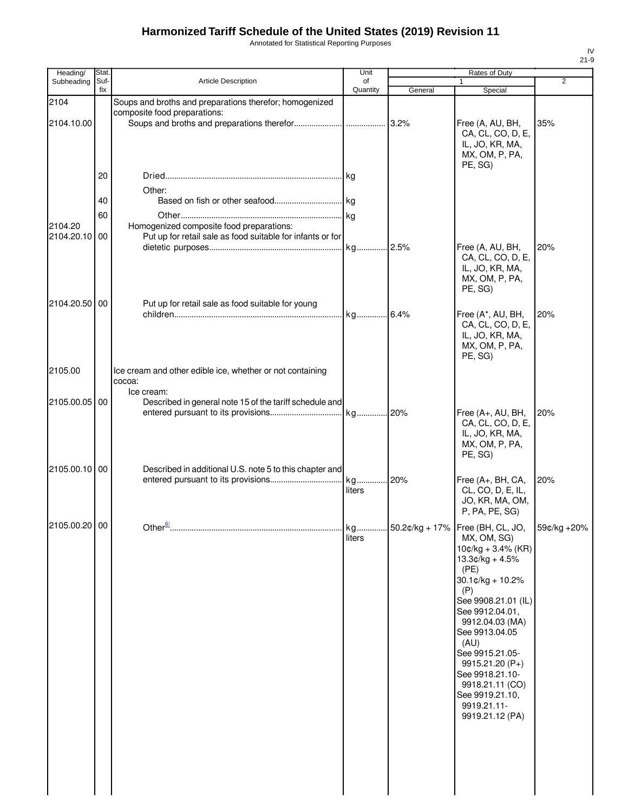Annotated for Statistical Reporting Purposes

| Stat.         |                                                           | Unit                                                                                                                                               |                                                                                                                                                                                                    | Rates of Duty                                                                                                                                                                                                                                                                                                        |                                                                                                                    |
|---------------|-----------------------------------------------------------|----------------------------------------------------------------------------------------------------------------------------------------------------|----------------------------------------------------------------------------------------------------------------------------------------------------------------------------------------------------|----------------------------------------------------------------------------------------------------------------------------------------------------------------------------------------------------------------------------------------------------------------------------------------------------------------------|--------------------------------------------------------------------------------------------------------------------|
| fix           |                                                           |                                                                                                                                                    |                                                                                                                                                                                                    |                                                                                                                                                                                                                                                                                                                      | 2                                                                                                                  |
|               |                                                           |                                                                                                                                                    |                                                                                                                                                                                                    |                                                                                                                                                                                                                                                                                                                      |                                                                                                                    |
|               | composite food preparations:                              |                                                                                                                                                    |                                                                                                                                                                                                    | Free (A, AU, BH,<br>CA, CL, CO, D, E,<br>IL, JO, KR, MA,                                                                                                                                                                                                                                                             | 35%                                                                                                                |
|               |                                                           |                                                                                                                                                    |                                                                                                                                                                                                    | PE, SG)                                                                                                                                                                                                                                                                                                              |                                                                                                                    |
|               | Other:                                                    |                                                                                                                                                    |                                                                                                                                                                                                    |                                                                                                                                                                                                                                                                                                                      |                                                                                                                    |
| 40            |                                                           |                                                                                                                                                    |                                                                                                                                                                                                    |                                                                                                                                                                                                                                                                                                                      |                                                                                                                    |
| 60            |                                                           |                                                                                                                                                    |                                                                                                                                                                                                    |                                                                                                                                                                                                                                                                                                                      |                                                                                                                    |
| 2104.20.10 00 |                                                           |                                                                                                                                                    |                                                                                                                                                                                                    | Free (A, AU, BH,                                                                                                                                                                                                                                                                                                     | 20%                                                                                                                |
|               |                                                           |                                                                                                                                                    |                                                                                                                                                                                                    | IL, JO, KR, MA,<br>MX, OM, P, PA,<br>PE, SG)                                                                                                                                                                                                                                                                         |                                                                                                                    |
| 2104.20.50 00 | Put up for retail sale as food suitable for young         |                                                                                                                                                    |                                                                                                                                                                                                    |                                                                                                                                                                                                                                                                                                                      |                                                                                                                    |
|               |                                                           |                                                                                                                                                    |                                                                                                                                                                                                    | CA, CL, CO, D, E,<br>IL, JO, KR, MA,<br>MX, OM, P, PA,<br>PE, SG)                                                                                                                                                                                                                                                    | 20%                                                                                                                |
|               | Ice cream and other edible ice, whether or not containing |                                                                                                                                                    |                                                                                                                                                                                                    |                                                                                                                                                                                                                                                                                                                      |                                                                                                                    |
|               |                                                           |                                                                                                                                                    |                                                                                                                                                                                                    |                                                                                                                                                                                                                                                                                                                      |                                                                                                                    |
| 2105.00.05 00 |                                                           |                                                                                                                                                    |                                                                                                                                                                                                    |                                                                                                                                                                                                                                                                                                                      |                                                                                                                    |
|               |                                                           |                                                                                                                                                    |                                                                                                                                                                                                    | CA, CL, CO, D, E,<br>IL, JO, KR, MA,<br>MX, OM, P, PA,<br>PE, SG)                                                                                                                                                                                                                                                    | 20%                                                                                                                |
| 2105.00.10 00 |                                                           |                                                                                                                                                    |                                                                                                                                                                                                    |                                                                                                                                                                                                                                                                                                                      |                                                                                                                    |
|               |                                                           | liters                                                                                                                                             |                                                                                                                                                                                                    | CL, CO, D, E, IL,<br>JO, KR, MA, OM,<br>P, PA, PE, SG)                                                                                                                                                                                                                                                               | 20%                                                                                                                |
| 2105.00.20 00 |                                                           | liters                                                                                                                                             |                                                                                                                                                                                                    | MX, OM, SG)<br>$10¢/kg + 3.4%$ (KR)<br>$13.3¢/kg + 4.5%$<br>(PE)<br>30.1¢/kg + 10.2%<br>(P)<br>See 9908.21.01 (IL)<br>See 9912.04.01,<br>9912.04.03 (MA)<br>See 9913.04.05<br>(AU)<br>See 9915.21.05-<br>$9915.21.20(P+)$<br>See 9918.21.10-<br>9918.21.11 (CO)<br>See 9919.21.10,<br>9919.21.11-<br>9919.21.12 (PA) | 59¢/kg +20%                                                                                                        |
|               | Suf-<br>20                                                | Article Description<br>Soups and broths and preparations therefor; homogenized<br>Homogenized composite food preparations:<br>cocoa:<br>Ice cream: | of<br>Quantity<br>Put up for retail sale as food suitable for infants or for<br>Described in general note 15 of the tariff schedule and<br>Described in additional U.S. note 5 to this chapter and | General<br>kg 20%                                                                                                                                                                                                                                                                                                    | 1<br>Special<br>MX, OM, P, PA,<br>CA, CL, CO, D, E,<br>Free (A*, AU, BH,<br>Free (A+, AU, BH,<br>Free (A+, BH, CA, |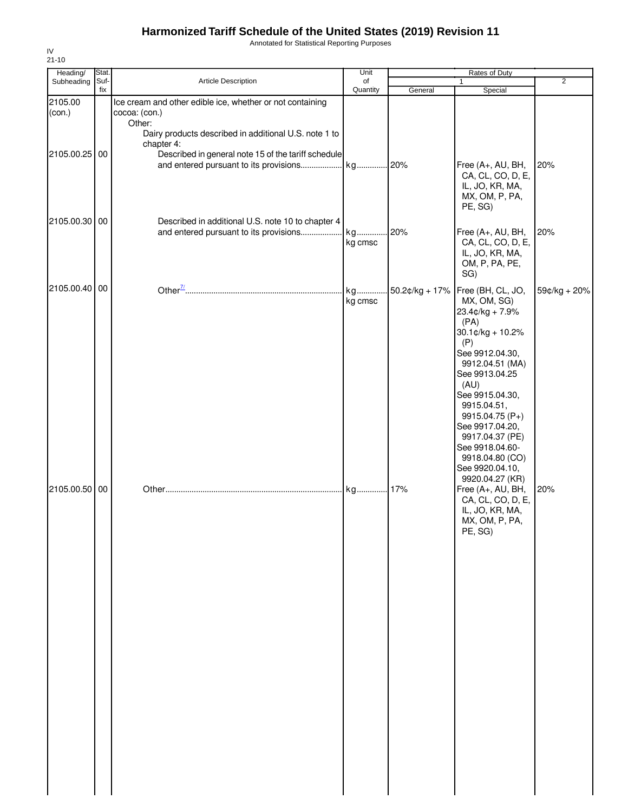Annotated for Statistical Reporting Purposes

| Heading/                       | Stat.       |                                                                                                                                                             | Unit           |                        | Rates of Duty                                                                                                                                                                                                                                                                                                                                                                                                           |                     |
|--------------------------------|-------------|-------------------------------------------------------------------------------------------------------------------------------------------------------------|----------------|------------------------|-------------------------------------------------------------------------------------------------------------------------------------------------------------------------------------------------------------------------------------------------------------------------------------------------------------------------------------------------------------------------------------------------------------------------|---------------------|
| Subheading                     | Suf-<br>fix | Article Description                                                                                                                                         | of<br>Quantity | General                | 1<br>Special                                                                                                                                                                                                                                                                                                                                                                                                            | $\overline{2}$      |
| 2105.00<br>(con.)              |             | Ice cream and other edible ice, whether or not containing<br>cocoa: (con.)<br>Other:<br>Dairy products described in additional U.S. note 1 to<br>chapter 4: |                |                        |                                                                                                                                                                                                                                                                                                                                                                                                                         |                     |
| 2105.00.25                     | 00          | Described in general note 15 of the tariff schedule                                                                                                         |                |                        | Free (A+, AU, BH,<br>CA, CL, CO, D, E,<br>IL, JO, KR, MA,<br>MX, OM, P, PA,<br>PE, SG)                                                                                                                                                                                                                                                                                                                                  | 20%                 |
| 2105.00.30 00                  |             | Described in additional U.S. note 10 to chapter 4<br>and entered pursuant to its provisions kg                                                              | kg cmsc        | 20%                    | Free (A+, AU, BH,<br>CA, CL, CO, D, E,<br>IL, JO, KR, MA,<br>OM, P, PA, PE,<br>SG)                                                                                                                                                                                                                                                                                                                                      | 20%                 |
| 2105.00.40 00<br>2105.00.50 00 |             |                                                                                                                                                             | kg cmsc<br>kg  | 50.2¢/kg + 17%<br>.17% | Free (BH, CL, JO,<br>MX, OM, SG)<br>23.4¢/kg + 7.9%<br>(PA)<br>30.1¢/kg + 10.2%<br>(P)<br>See 9912.04.30,<br>9912.04.51 (MA)<br>See 9913.04.25<br>(AU)<br>See 9915.04.30,<br>9915.04.51,<br>9915.04.75 (P+)<br>See 9917.04.20,<br>9917.04.37 (PE)<br>See 9918.04.60-<br>9918.04.80 (CO)<br>See 9920.04.10,<br>9920.04.27 (KR)<br>Free (A+, AU, BH,<br>CA, CL, CO, D, E,<br>IL, JO, KR, MA,<br>MX, OM, P, PA,<br>PE, SG) | 59¢/kg + 20%<br>20% |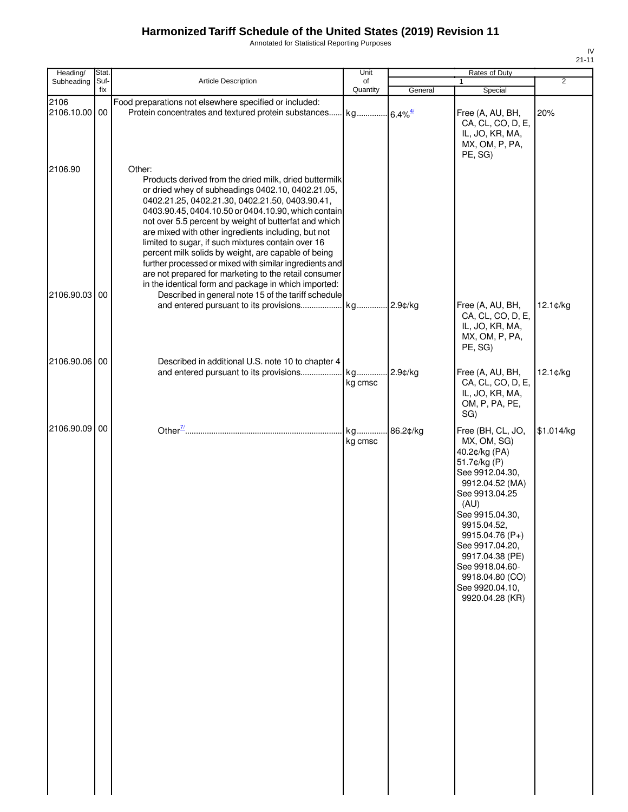Annotated for Statistical Reporting Purposes

| Heading/                 | Stat.       |                                                                                                                                                                                                                                                                                                                                                                                                                                                                                                                                                                                                                                                                                                 | Unit           |            | Rates of Duty                                                                                                                                                                                                                                                                                            |             |
|--------------------------|-------------|-------------------------------------------------------------------------------------------------------------------------------------------------------------------------------------------------------------------------------------------------------------------------------------------------------------------------------------------------------------------------------------------------------------------------------------------------------------------------------------------------------------------------------------------------------------------------------------------------------------------------------------------------------------------------------------------------|----------------|------------|----------------------------------------------------------------------------------------------------------------------------------------------------------------------------------------------------------------------------------------------------------------------------------------------------------|-------------|
| Subheading               | Suf-<br>fix | Article Description                                                                                                                                                                                                                                                                                                                                                                                                                                                                                                                                                                                                                                                                             | of<br>Quantity | General    | $\mathbf{1}$<br>Special                                                                                                                                                                                                                                                                                  | 2           |
| 2106<br>2106.10.00 00    |             | Food preparations not elsewhere specified or included:                                                                                                                                                                                                                                                                                                                                                                                                                                                                                                                                                                                                                                          |                |            | Free (A, AU, BH,<br>CA, CL, CO, D, E,<br>IL, JO, KR, MA,<br>MX, OM, P, PA,<br>PE, SG)                                                                                                                                                                                                                    | 20%         |
| 2106.90<br>2106.90.03 00 |             | Other:<br>Products derived from the dried milk, dried buttermilk<br>or dried whey of subheadings 0402.10, 0402.21.05,<br>0402.21.25, 0402.21.30, 0402.21.50, 0403.90.41,<br>0403.90.45, 0404.10.50 or 0404.10.90, which contain<br>not over 5.5 percent by weight of butterfat and which<br>are mixed with other ingredients including, but not<br>limited to sugar, if such mixtures contain over 16<br>percent milk solids by weight, are capable of being<br>further processed or mixed with similar ingredients and<br>are not prepared for marketing to the retail consumer<br>in the identical form and package in which imported:<br>Described in general note 15 of the tariff schedule |                |            |                                                                                                                                                                                                                                                                                                          |             |
|                          |             | and entered pursuant to its provisions kg                                                                                                                                                                                                                                                                                                                                                                                                                                                                                                                                                                                                                                                       |                | 2.9¢/kg    | Free (A, AU, BH,<br>CA, CL, CO, D, E,<br>IL, JO, KR, MA,<br>MX, OM, P, PA,<br>PE, SG)                                                                                                                                                                                                                    | $12.1$ ¢/kg |
| 2106.90.06 00            |             | Described in additional U.S. note 10 to chapter 4                                                                                                                                                                                                                                                                                                                                                                                                                                                                                                                                                                                                                                               | kg cmsc        | $2.9$ ¢/kg | Free (A, AU, BH,<br>CA, CL, CO, D, E,<br>IL, JO, KR, MA,<br>OM, P, PA, PE,<br>SG)                                                                                                                                                                                                                        | 12.1¢/kg    |
| 2106.90.09 00            |             |                                                                                                                                                                                                                                                                                                                                                                                                                                                                                                                                                                                                                                                                                                 | kg<br>kg cmsc  | 86.2¢/kg   | Free (BH, CL, JO,<br>MX, OM, SG)<br>40.2¢/kg (PA)<br>51.7¢/kg (P)<br>See 9912.04.30,<br>9912.04.52 (MA)<br>See 9913.04.25<br>(AU)<br>See 9915.04.30,<br>9915.04.52,<br>9915.04.76 (P+)<br>See 9917.04.20,<br>9917.04.38 (PE)<br>See 9918.04.60-<br>9918.04.80 (CO)<br>See 9920.04.10,<br>9920.04.28 (KR) | \$1.014/kg  |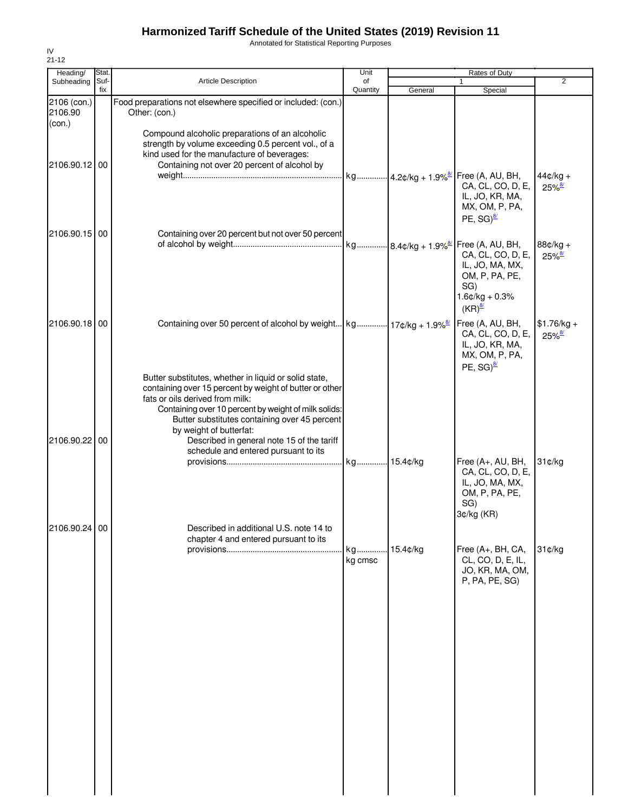Annotated for Statistical Reporting Purposes

| Heading/<br>Subheading           | Stat.<br>Suf- | <b>Article Description</b>                                                                                                                                                                                                                                                                                                                                                    | Unit<br>of    |          | Rates of Duty<br>$\mathbf{1}$                                                                                                 | 2                                    |
|----------------------------------|---------------|-------------------------------------------------------------------------------------------------------------------------------------------------------------------------------------------------------------------------------------------------------------------------------------------------------------------------------------------------------------------------------|---------------|----------|-------------------------------------------------------------------------------------------------------------------------------|--------------------------------------|
|                                  | fix           |                                                                                                                                                                                                                                                                                                                                                                               | Quantity      | General  | Special                                                                                                                       |                                      |
| 2106 (con.)<br>2106.90<br>(con.) |               | Food preparations not elsewhere specified or included: (con.)<br>Other: (con.)                                                                                                                                                                                                                                                                                                |               |          |                                                                                                                               |                                      |
| 2106.90.12 00                    |               | Compound alcoholic preparations of an alcoholic<br>strength by volume exceeding 0.5 percent vol., of a<br>kind used for the manufacture of beverages:<br>Containing not over 20 percent of alcohol by                                                                                                                                                                         |               |          |                                                                                                                               |                                      |
|                                  |               |                                                                                                                                                                                                                                                                                                                                                                               |               |          | kg 4.2¢/kg + 1.9% <sup>8/</sup> Free (A, AU, BH,<br>CA, CL, CO, D, E,<br>IL, JO, KR, MA,<br>MX, OM, P, PA,<br>PE, $SG)^{8/2}$ | $44¢/kg +$<br>$25\%$ <sup>8/</sup>   |
| 2106.90.15 00                    |               | Containing over 20 percent but not over 50 percent                                                                                                                                                                                                                                                                                                                            |               |          | CA, CL, CO, D, E,<br>IL, JO, MA, MX,<br>OM, P, PA, PE,<br>SG)<br>$1.6$ ¢/kg + 0.3%<br>$(KR)^{\frac{8}{2}}$                    | 88¢/kg +<br>$25\%$ <sup>8/</sup>     |
| 2106.90.18 00                    |               | Containing over 50 percent of alcohol by weight   kg   17¢/kg + 1.9% <sup>8/</sup>                                                                                                                                                                                                                                                                                            |               |          | Free (A, AU, BH,<br>CA, CL, CO, D, E,<br>IL, JO, KR, MA,<br>MX, OM, P, PA,<br>PE, $SG)^{8/2}$                                 | $$1.76/kg +$<br>$25\%$ <sup>8/</sup> |
| 2106.90.22 00                    |               | Butter substitutes, whether in liquid or solid state,<br>containing over 15 percent by weight of butter or other<br>fats or oils derived from milk:<br>Containing over 10 percent by weight of milk solids:<br>Butter substitutes containing over 45 percent<br>by weight of butterfat:<br>Described in general note 15 of the tariff<br>schedule and entered pursuant to its |               |          |                                                                                                                               |                                      |
|                                  |               |                                                                                                                                                                                                                                                                                                                                                                               |               |          | Free (A+, AU, BH,<br>CA, CL, CO, D, E,<br>IL, JO, MA, MX,<br>OM, P, PA, PE,<br>SG)<br>3¢/kg (KR)                              | 31¢/kg                               |
| 2106.90.24 00                    |               | Described in additional U.S. note 14 to<br>chapter 4 and entered pursuant to its                                                                                                                                                                                                                                                                                              | kg<br>kg cmsc | 15.4¢/kg | Free (A+, BH, CA,<br>CL, CO, D, E, IL,<br>JO, KR, MA, OM,<br>P, PA, PE, SG                                                    | 31¢/kg                               |
|                                  |               |                                                                                                                                                                                                                                                                                                                                                                               |               |          |                                                                                                                               |                                      |
|                                  |               |                                                                                                                                                                                                                                                                                                                                                                               |               |          |                                                                                                                               |                                      |
|                                  |               |                                                                                                                                                                                                                                                                                                                                                                               |               |          |                                                                                                                               |                                      |
|                                  |               |                                                                                                                                                                                                                                                                                                                                                                               |               |          |                                                                                                                               |                                      |

IV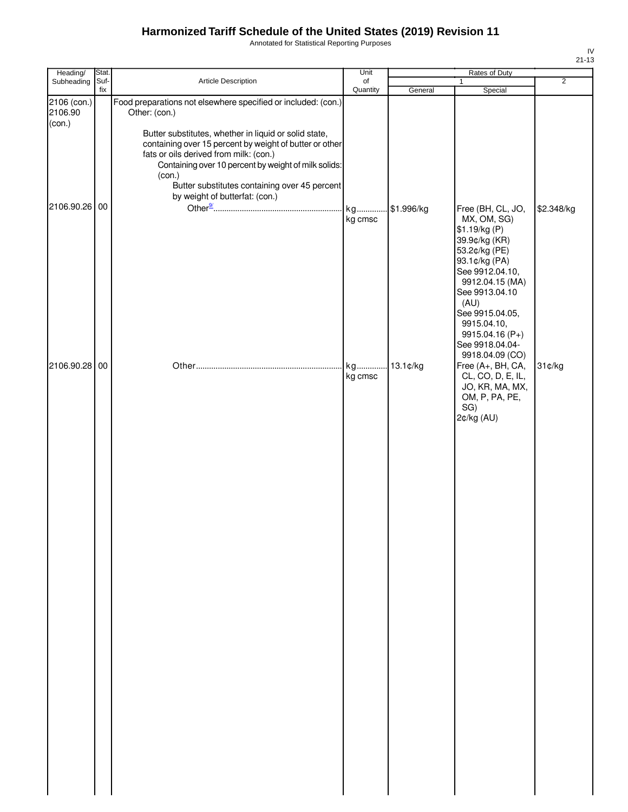Annotated for Statistical Reporting Purposes

| Heading/                         | Stat.       |                                                                                                                                                                                                                                                                                                                 | Unit                   | Rates of Duty |                                                                                                                                                                                                                                          |                |
|----------------------------------|-------------|-----------------------------------------------------------------------------------------------------------------------------------------------------------------------------------------------------------------------------------------------------------------------------------------------------------------|------------------------|---------------|------------------------------------------------------------------------------------------------------------------------------------------------------------------------------------------------------------------------------------------|----------------|
| Subheading                       | Suf-<br>fix | Article Description                                                                                                                                                                                                                                                                                             | of<br>Quantity         | General       | $\mathbf{1}$<br>Special                                                                                                                                                                                                                  | $\overline{2}$ |
| 2106 (con.)<br>2106.90<br>(con.) |             | Food preparations not elsewhere specified or included: (con.)<br>Other: (con.)                                                                                                                                                                                                                                  |                        |               |                                                                                                                                                                                                                                          |                |
| 2106.90.26 00                    |             | Butter substitutes, whether in liquid or solid state,<br>containing over 15 percent by weight of butter or other<br>fats or oils derived from milk: (con.)<br>Containing over 10 percent by weight of milk solids:<br>(con.)<br>Butter substitutes containing over 45 percent<br>by weight of butterfat: (con.) | kg<br>kg cmsc          | \$1.996/kg    | Free (BH, CL, JO,<br>MX, OM, SG)<br>\$1.19/kg (P)<br>39.9¢/kg (KR)<br>53.2¢/kg (PE)<br>93.1¢/kg (PA)<br>See 9912.04.10,                                                                                                                  | \$2.348/kg     |
| 2106.90.28 00                    |             |                                                                                                                                                                                                                                                                                                                 | kg 13.1¢/kg<br>kg cmsc |               | 9912.04.15 (MA)<br>See 9913.04.10<br>(AU)<br>See 9915.04.05,<br>9915.04.10,<br>9915.04.16 (P+)<br>See 9918.04.04-<br>9918.04.09 (CO)<br>Free (A+, BH, CA,<br>CL, CO, D, E, IL,<br>JO, KR, MA, MX,<br>OM, P, PA, PE,<br>SG)<br>2¢/kg (AU) | 31¢/kg         |
|                                  |             |                                                                                                                                                                                                                                                                                                                 |                        |               |                                                                                                                                                                                                                                          |                |
|                                  |             |                                                                                                                                                                                                                                                                                                                 |                        |               |                                                                                                                                                                                                                                          |                |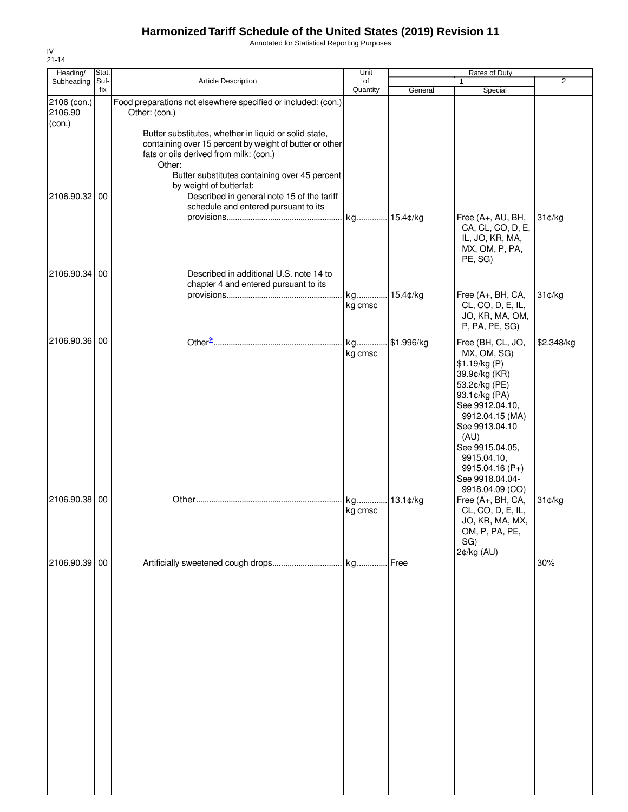Annotated for Statistical Reporting Purposes

| Heading/                | Stat.       |                                                                                                                                                                                                                                                                                                                                        | Unit           |             | Rates of Duty                                                                                                                                                                                                                              |                |
|-------------------------|-------------|----------------------------------------------------------------------------------------------------------------------------------------------------------------------------------------------------------------------------------------------------------------------------------------------------------------------------------------|----------------|-------------|--------------------------------------------------------------------------------------------------------------------------------------------------------------------------------------------------------------------------------------------|----------------|
| Subheading              | Suf-<br>fix | Article Description                                                                                                                                                                                                                                                                                                                    | of<br>Quantity | General     | 1<br>Special                                                                                                                                                                                                                               | $\overline{2}$ |
| 2106 (con.)<br>2106.90  |             | Food preparations not elsewhere specified or included: (con.)<br>Other: (con.)                                                                                                                                                                                                                                                         |                |             |                                                                                                                                                                                                                                            |                |
| (con.)<br>2106.90.32 00 |             | Butter substitutes, whether in liquid or solid state,<br>containing over 15 percent by weight of butter or other<br>fats or oils derived from milk: (con.)<br>Other:<br>Butter substitutes containing over 45 percent<br>by weight of butterfat:<br>Described in general note 15 of the tariff<br>schedule and entered pursuant to its |                |             |                                                                                                                                                                                                                                            |                |
| 2106.90.34 00           |             | Described in additional U.S. note 14 to                                                                                                                                                                                                                                                                                                | kg 15.4¢/kg    |             | Free (A+, AU, BH,<br>CA, CL, CO, D, E,<br>IL, JO, KR, MA,<br>MX, OM, P, PA,<br>PE, SG)                                                                                                                                                     | 31¢/kg         |
|                         |             | chapter 4 and entered pursuant to its                                                                                                                                                                                                                                                                                                  |                |             |                                                                                                                                                                                                                                            |                |
|                         |             |                                                                                                                                                                                                                                                                                                                                        | kg             | .15.4¢/kg   | Free (A+, BH, CA,                                                                                                                                                                                                                          | 31¢/kg         |
|                         |             |                                                                                                                                                                                                                                                                                                                                        | kg cmsc        |             | CL, CO, D, E, IL,<br>JO, KR, MA, OM,<br>P, PA, PE, SG)                                                                                                                                                                                     |                |
| 2106.90.36 00           |             |                                                                                                                                                                                                                                                                                                                                        | kg             | \$1.996/kg  | Free (BH, CL, JO,                                                                                                                                                                                                                          | \$2.348/kg     |
|                         |             |                                                                                                                                                                                                                                                                                                                                        | kg cmsc        |             | MX, OM, SG)<br>\$1.19/kg (P)<br>39.9¢/kg (KR)<br>53.2¢/kg (PE)<br>93.1¢/kg (PA)<br>See 9912.04.10,<br>9912.04.15 (MA)<br>See 9913.04.10<br>(AU)<br>See 9915.04.05,<br>9915.04.10,<br>9915.04.16 (P+)<br>See 9918.04.04-<br>9918.04.09 (CO) |                |
| 2106.90.38 00           |             |                                                                                                                                                                                                                                                                                                                                        | kg<br>kg cmsc  | $13.1$ ¢/kg | Free (A+, BH, CA,<br>CL, CO, D, E, IL,<br>JO, KR, MA, MX,<br>OM, P, PA, PE,<br>SG)                                                                                                                                                         | 31¢/kg         |
| 2106.90.39 00           |             |                                                                                                                                                                                                                                                                                                                                        |                |             | 2¢/kg (AU)                                                                                                                                                                                                                                 | 30%            |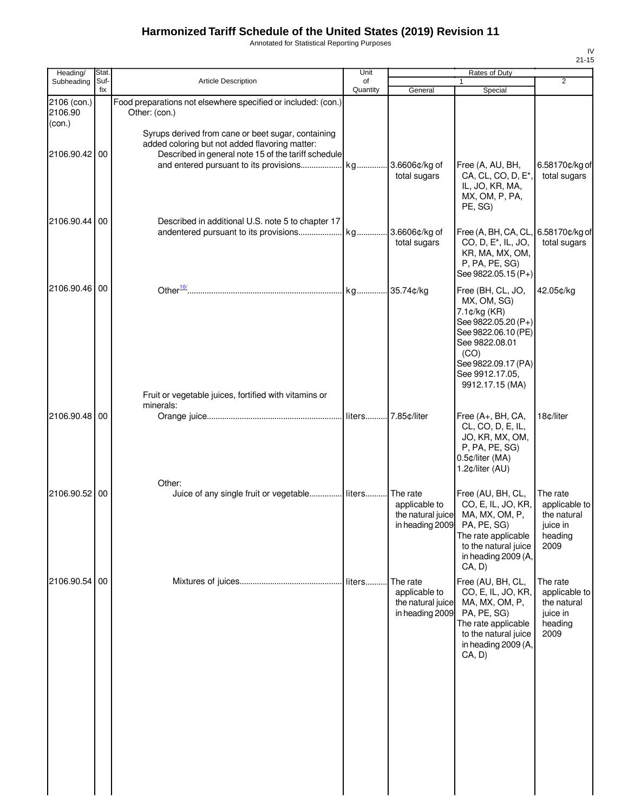Annotated for Statistical Reporting Purposes

| Heading/                         | Stat.       |                                                                                                                                                                                                           | Unit           | Rates of Duty                                                     |                                                                                                                                                                                       |                                                                         |
|----------------------------------|-------------|-----------------------------------------------------------------------------------------------------------------------------------------------------------------------------------------------------------|----------------|-------------------------------------------------------------------|---------------------------------------------------------------------------------------------------------------------------------------------------------------------------------------|-------------------------------------------------------------------------|
| Subheading                       | Suf-<br>fix | Article Description                                                                                                                                                                                       | of<br>Quantity | General                                                           | $\mathbf{1}$<br>Special                                                                                                                                                               | 2                                                                       |
| 2106 (con.)<br>2106.90<br>$con.$ |             | Food preparations not elsewhere specified or included: (con.)<br>Other: (con.)                                                                                                                            |                |                                                                   |                                                                                                                                                                                       |                                                                         |
| 2106.90.42 00                    |             | Syrups derived from cane or beet sugar, containing<br>added coloring but not added flavoring matter:<br>Described in general note 15 of the tariff schedule<br>and entered pursuant to its provisions  kg |                | 3.6606¢/kg of<br>total sugars                                     | Free (A, AU, BH,<br>CA, CL, CO, D, E <sup>*</sup> ,<br>IL, JO, KR, MA,<br>MX, OM, P, PA,<br>PE, SG)                                                                                   | 6.58170¢/kg of<br>total sugars                                          |
| 2106.90.44 00                    |             | Described in additional U.S. note 5 to chapter 17                                                                                                                                                         |                | total sugars                                                      | Free (A, BH, CA, CL,<br>CO, D, E <sup>*</sup> , IL, JO,<br>KR, MA, MX, OM,<br>P, PA, PE, SG)<br>See 9822.05.15 (P+)                                                                   | 6.58170¢/kg of<br>total sugars                                          |
| 2106.90.46 00                    |             | Fruit or vegetable juices, fortified with vitamins or                                                                                                                                                     |                |                                                                   | Free (BH, CL, JO,<br>MX, OM, SG)<br>7.1¢/kg (KR)<br>See 9822.05.20 (P+)<br>See 9822.06.10 (PE)<br>See 9822.08.01<br>(CO)<br>See 9822.09.17 (PA)<br>See 9912.17.05,<br>9912.17.15 (MA) | 42.05¢/kg                                                               |
| 2106.90.48 00                    |             | minerals:                                                                                                                                                                                                 |                |                                                                   | Free (A+, BH, CA,<br>CL, CO, D, E, IL,<br>JO, KR, MX, OM,<br>P, PA, PE, SG)<br>0.5¢/liter (MA)<br>1.2¢/liter (AU)                                                                     | 18c/liter                                                               |
| 2106.90.52 00                    |             | Other:<br>Juice of any single fruit or vegetable liters                                                                                                                                                   |                | The rate<br>applicable to<br>the natural juice<br>in heading 2009 | Free (AU, BH, CL,<br>CO, E, IL, JO, KR,<br>MA, MX, OM, P,<br>PA, PE, SG)<br>The rate applicable<br>to the natural juice<br>in heading 2009 (A,<br>CA, D)                              | The rate<br>applicable to<br>the natural<br>juice in<br>heading<br>2009 |
| 2106.90.54 00                    |             |                                                                                                                                                                                                           |                | The rate<br>applicable to<br>the natural juice<br>in heading 2009 | Free (AU, BH, CL,<br>CO, E, IL, JO, KR,<br>MA, MX, OM, P,<br>PA, PE, SG)<br>The rate applicable<br>to the natural juice<br>in heading 2009 (A,<br>CA, D)                              | The rate<br>applicable to<br>the natural<br>juice in<br>heading<br>2009 |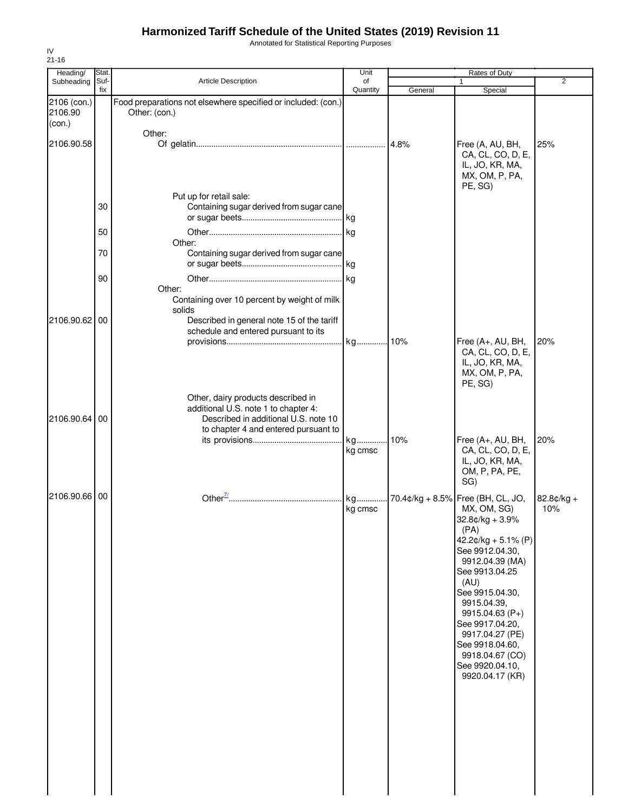Annotated for Statistical Reporting Purposes

| Heading/                         | Stat.       |                                                                                                                                                            | Unit           |         | <b>Rates of Duty</b>                                                                                                                                                                                                                                                                                                                             |                     |
|----------------------------------|-------------|------------------------------------------------------------------------------------------------------------------------------------------------------------|----------------|---------|--------------------------------------------------------------------------------------------------------------------------------------------------------------------------------------------------------------------------------------------------------------------------------------------------------------------------------------------------|---------------------|
| Subheading                       | Suf-<br>fix | Article Description                                                                                                                                        | of<br>Quantity | General | Special                                                                                                                                                                                                                                                                                                                                          | $\overline{2}$      |
| 2106 (con.)<br>2106.90<br>(con.) |             | Food preparations not elsewhere specified or included: (con.)<br>Other: (con.)                                                                             |                |         |                                                                                                                                                                                                                                                                                                                                                  |                     |
| 2106.90.58                       |             | Other:                                                                                                                                                     |                | 4.8%    | Free (A, AU, BH,<br>CA, CL, CO, D, E,<br>IL, JO, KR, MA,<br>MX, OM, P, PA,                                                                                                                                                                                                                                                                       | 25%                 |
|                                  | 30          | Put up for retail sale:<br>Containing sugar derived from sugar cane                                                                                        |                |         | PE, SG)                                                                                                                                                                                                                                                                                                                                          |                     |
|                                  | 50          |                                                                                                                                                            |                |         |                                                                                                                                                                                                                                                                                                                                                  |                     |
|                                  | 70          | Other:<br>Containing sugar derived from sugar cane                                                                                                         |                |         |                                                                                                                                                                                                                                                                                                                                                  |                     |
|                                  | 90          |                                                                                                                                                            |                |         |                                                                                                                                                                                                                                                                                                                                                  |                     |
| 2106.90.62 00                    |             | Other:<br>Containing over 10 percent by weight of milk<br>solids<br>Described in general note 15 of the tariff                                             |                |         |                                                                                                                                                                                                                                                                                                                                                  |                     |
|                                  |             | schedule and entered pursuant to its                                                                                                                       |                |         | Free (A+, AU, BH,                                                                                                                                                                                                                                                                                                                                | 20%                 |
|                                  |             |                                                                                                                                                            |                |         | CA, CL, CO, D, E,<br>IL, JO, KR, MA,<br>MX, OM, P, PA,<br>PE, SG)                                                                                                                                                                                                                                                                                |                     |
| 2106.90.64                       | 00          | Other, dairy products described in<br>additional U.S. note 1 to chapter 4:<br>Described in additional U.S. note 10<br>to chapter 4 and entered pursuant to |                |         |                                                                                                                                                                                                                                                                                                                                                  |                     |
|                                  |             |                                                                                                                                                            | kg<br>kg cmsc  | 10%     | Free (A+, AU, BH,<br>CA, CL, CO, D, E,<br>IL, JO, KR, MA,<br>OM, P, PA, PE,<br>SG)                                                                                                                                                                                                                                                               | 20%                 |
| 2106.90.66                       | 00          |                                                                                                                                                            | kg<br>kg cmsc  |         | . 70.4¢/kg + 8.5% Free (BH, CL, JO,<br>MX, OM, SG)<br>$32.8¢/kg + 3.9%$<br>(PA)<br>$42.2¢/kg + 5.1% (P)$<br>See 9912.04.30,<br>9912.04.39 (MA)<br>See 9913.04.25<br>(AU)<br>See 9915.04.30,<br>9915.04.39,<br>$9915.04.63(P+)$<br>See 9917.04.20,<br>9917.04.27 (PE)<br>See 9918.04.60,<br>9918.04.67 (CO)<br>See 9920.04.10,<br>9920.04.17 (KR) | $82.8¢/kg +$<br>10% |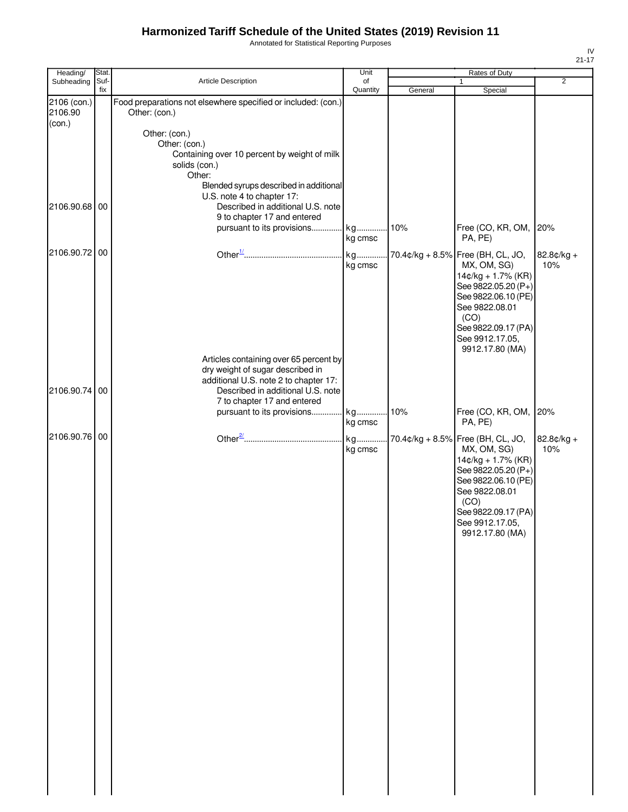Annotated for Statistical Reporting Purposes

| Heading/                         | Stat.       |                                                                                                                                                                                         | Unit                     |         | Rates of Duty                                                                                                                                                                                               |                   |
|----------------------------------|-------------|-----------------------------------------------------------------------------------------------------------------------------------------------------------------------------------------|--------------------------|---------|-------------------------------------------------------------------------------------------------------------------------------------------------------------------------------------------------------------|-------------------|
| Subheading                       | Suf-<br>fix | Article Description                                                                                                                                                                     | of<br>Quantity           | General | Special                                                                                                                                                                                                     | $\overline{2}$    |
| 2106 (con.)<br>2106.90<br>(con.) |             | Food preparations not elsewhere specified or included: (con.)<br>Other: (con.)                                                                                                          |                          |         |                                                                                                                                                                                                             |                   |
|                                  |             | Other: (con.)<br>Other: (con.)<br>Containing over 10 percent by weight of milk<br>solids (con.)<br>Other:<br>Blended syrups described in additional<br>U.S. note 4 to chapter 17:       |                          |         |                                                                                                                                                                                                             |                   |
| 2106.90.68 00                    |             | Described in additional U.S. note<br>9 to chapter 17 and entered<br>pursuant to its provisions                                                                                          | kg                       | 10%     | Free (CO, KR, OM, 20%                                                                                                                                                                                       |                   |
| 2106.90.72 00                    |             |                                                                                                                                                                                         | kg cmsc<br>kg<br>kg cmsc |         | PA, PE)<br>70.4¢/kg + 8.5% Free (BH, CL, JO,<br>MX, OM, SG)<br>14¢/kg + 1.7% (KR)<br>See 9822.05.20 (P+)                                                                                                    | 82.8¢/kg +<br>10% |
|                                  |             |                                                                                                                                                                                         |                          |         | See 9822.06.10 (PE)<br>See 9822.08.01<br>(CO)<br>See 9822.09.17 (PA)<br>See 9912.17.05,<br>9912.17.80 (MA)                                                                                                  |                   |
| 2106.90.74 00                    |             | Articles containing over 65 percent by<br>dry weight of sugar described in<br>additional U.S. note 2 to chapter 17:<br>Described in additional U.S. note<br>7 to chapter 17 and entered |                          |         |                                                                                                                                                                                                             |                   |
|                                  |             | pursuant to its provisions                                                                                                                                                              | kg<br>kg cmsc            | 10%     | Free (CO, KR, OM,  <br>PA, PE)                                                                                                                                                                              | 20%               |
| 2106.90.76 00                    |             |                                                                                                                                                                                         | kg<br>kg cmsc            |         | 70.4¢/kg + 8.5% Free (BH, CL, JO,<br>MX, OM, SG)<br>14¢/kg + 1.7% (KR)<br>See 9822.05.20 (P+)<br>See 9822.06.10 (PE)<br>See 9822.08.01<br>(CO)<br>See 9822.09.17 (PA)<br>See 9912.17.05,<br>9912.17.80 (MA) | 82.8¢/kg +<br>10% |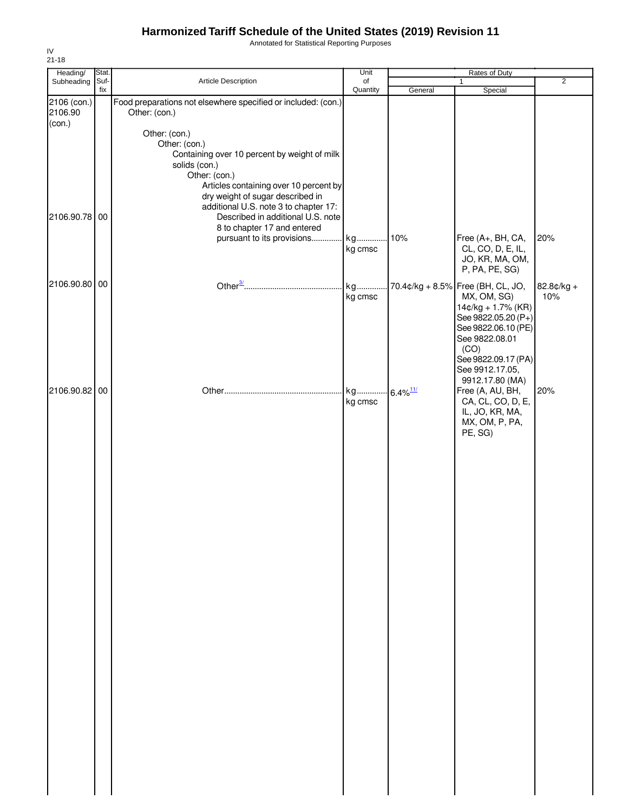Annotated for Statistical Reporting Purposes

| Heading/               | Stat.       |                                                                                | Unit           | Rates of Duty           |                                       |                |  |
|------------------------|-------------|--------------------------------------------------------------------------------|----------------|-------------------------|---------------------------------------|----------------|--|
| Subheading             | Suf-<br>fix | Article Description                                                            | of<br>Quantity |                         | $\mathbf{1}$                          | $\overline{2}$ |  |
| 2106 (con.)<br>2106.90 |             | Food preparations not elsewhere specified or included: (con.)<br>Other: (con.) |                | General                 | Special                               |                |  |
| (con.)                 |             |                                                                                |                |                         |                                       |                |  |
|                        |             | Other: (con.)                                                                  |                |                         |                                       |                |  |
|                        |             | Other: (con.)                                                                  |                |                         |                                       |                |  |
|                        |             | Containing over 10 percent by weight of milk<br>solids (con.)                  |                |                         |                                       |                |  |
|                        |             | Other: (con.)                                                                  |                |                         |                                       |                |  |
|                        |             | Articles containing over 10 percent by                                         |                |                         |                                       |                |  |
|                        |             | dry weight of sugar described in                                               |                |                         |                                       |                |  |
| 2106.90.78 00          |             | additional U.S. note 3 to chapter 17:<br>Described in additional U.S. note     |                |                         |                                       |                |  |
|                        |             | 8 to chapter 17 and entered                                                    |                |                         |                                       |                |  |
|                        |             | pursuant to its provisions                                                     | kg             | 10%                     | Free (A+, BH, CA,                     | 20%            |  |
|                        |             |                                                                                | kg cmsc        |                         | CL, CO, D, E, IL,                     |                |  |
|                        |             |                                                                                |                |                         | JO, KR, MA, OM,                       |                |  |
|                        |             |                                                                                |                |                         | P, PA, PE, SG)                        |                |  |
| 2106.90.80 00          |             |                                                                                | kg             |                         | 70.4¢/kg + 8.5% Free (BH, CL, JO,     | 82.8¢/kg +     |  |
|                        |             |                                                                                | kg cmsc        |                         | MX, OM, SG)<br>$14¢/kg + 1.7%$ (KR)   | 10%            |  |
|                        |             |                                                                                |                |                         | See 9822.05.20 (P+)                   |                |  |
|                        |             |                                                                                |                |                         | See 9822.06.10 (PE)                   |                |  |
|                        |             |                                                                                |                |                         | See 9822.08.01<br>(CO)                |                |  |
|                        |             |                                                                                |                |                         | See 9822.09.17 (PA)                   |                |  |
|                        |             |                                                                                |                |                         | See 9912.17.05,                       |                |  |
|                        |             |                                                                                |                |                         | 9912.17.80 (MA)                       |                |  |
| 2106.90.82 00          |             |                                                                                | kg<br>kg cmsc  | $-6.4\%$ <sup>11/</sup> | Free (A, AU, BH,<br>CA, CL, CO, D, E, | 20%            |  |
|                        |             |                                                                                |                |                         | IL, JO, KR, MA,                       |                |  |
|                        |             |                                                                                |                |                         | MX, OM, P, PA,                        |                |  |
|                        |             |                                                                                |                |                         | PE, SG)                               |                |  |
|                        |             |                                                                                |                |                         |                                       |                |  |
|                        |             |                                                                                |                |                         |                                       |                |  |
|                        |             |                                                                                |                |                         |                                       |                |  |
|                        |             |                                                                                |                |                         |                                       |                |  |
|                        |             |                                                                                |                |                         |                                       |                |  |
|                        |             |                                                                                |                |                         |                                       |                |  |
|                        |             |                                                                                |                |                         |                                       |                |  |
|                        |             |                                                                                |                |                         |                                       |                |  |
|                        |             |                                                                                |                |                         |                                       |                |  |
|                        |             |                                                                                |                |                         |                                       |                |  |
|                        |             |                                                                                |                |                         |                                       |                |  |
|                        |             |                                                                                |                |                         |                                       |                |  |
|                        |             |                                                                                |                |                         |                                       |                |  |
|                        |             |                                                                                |                |                         |                                       |                |  |
|                        |             |                                                                                |                |                         |                                       |                |  |
|                        |             |                                                                                |                |                         |                                       |                |  |
|                        |             |                                                                                |                |                         |                                       |                |  |
|                        |             |                                                                                |                |                         |                                       |                |  |
|                        |             |                                                                                |                |                         |                                       |                |  |
|                        |             |                                                                                |                |                         |                                       |                |  |
|                        |             |                                                                                |                |                         |                                       |                |  |
|                        |             |                                                                                |                |                         |                                       |                |  |
|                        |             |                                                                                |                |                         |                                       |                |  |
|                        |             |                                                                                |                |                         |                                       |                |  |
|                        |             |                                                                                |                |                         |                                       |                |  |
|                        |             |                                                                                |                |                         |                                       |                |  |
|                        |             |                                                                                |                |                         |                                       |                |  |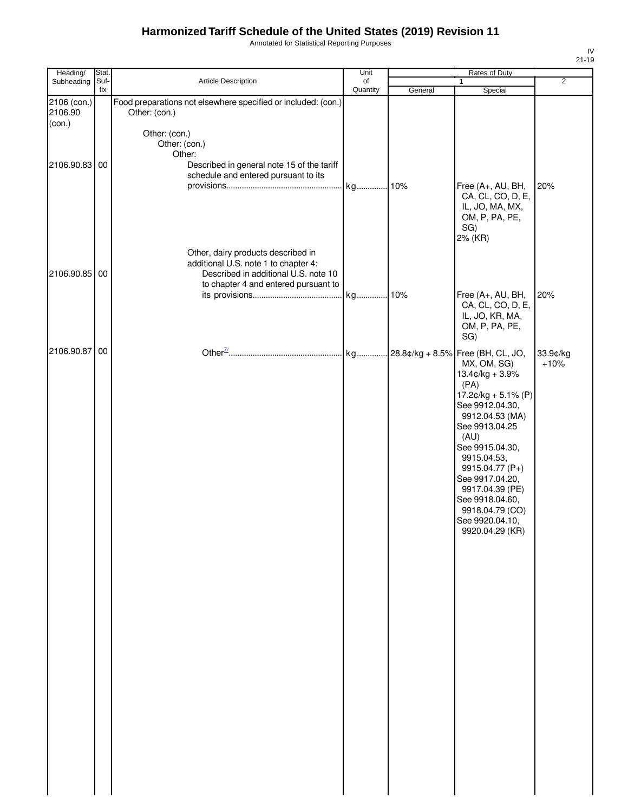Annotated for Statistical Reporting Purposes

| Heading/                         | Stat. |                                                                                                                                                            | Unit     | Rates of Duty |                                                                                                                                                                                                                                                                                                           |                    |
|----------------------------------|-------|------------------------------------------------------------------------------------------------------------------------------------------------------------|----------|---------------|-----------------------------------------------------------------------------------------------------------------------------------------------------------------------------------------------------------------------------------------------------------------------------------------------------------|--------------------|
| Subheading                       | Suf-  | Article Description                                                                                                                                        | of       |               | $\mathbf{1}$                                                                                                                                                                                                                                                                                              | $\overline{2}$     |
| 2106 (con.)<br>2106.90<br>(con.) | fix   | Food preparations not elsewhere specified or included: (con.)<br>Other: (con.)<br>Other: (con.)<br>Other: (con.)                                           | Quantity | General       | Special                                                                                                                                                                                                                                                                                                   |                    |
| 2106.90.83 00                    |       | Other:<br>Described in general note 15 of the tariff<br>schedule and entered pursuant to its                                                               | kg 10%   |               | Free (A+, AU, BH,<br>CA, CL, CO, D, E,<br>IL, JO, MA, MX,<br>OM, P, PA, PE,<br>SG)<br>2% (KR)                                                                                                                                                                                                             | 20%                |
| 2106.90.85 00                    |       | Other, dairy products described in<br>additional U.S. note 1 to chapter 4:<br>Described in additional U.S. note 10<br>to chapter 4 and entered pursuant to | kg       | .10%          | Free (A+, AU, BH,<br>CA, CL, CO, D, E,<br>IL, JO, KR, MA,<br>OM, P, PA, PE,<br>SG)                                                                                                                                                                                                                        | 20%                |
| 2106.90.87 00                    |       |                                                                                                                                                            |          |               | MX, OM, SG)<br>$13.4$ ¢/kg + 3.9%<br>(PA)<br>$17.2¢/kg + 5.1% (P)$<br>See 9912.04.30,<br>9912.04.53 (MA)<br>See 9913.04.25<br>(AU)<br>See 9915.04.30,<br>9915.04.53,<br>9915.04.77 (P+)<br>See 9917.04.20,<br>9917.04.39 (PE)<br>See 9918.04.60,<br>9918.04.79 (CO)<br>See 9920.04.10,<br>9920.04.29 (KR) | 33.9¢/kg<br>$+10%$ |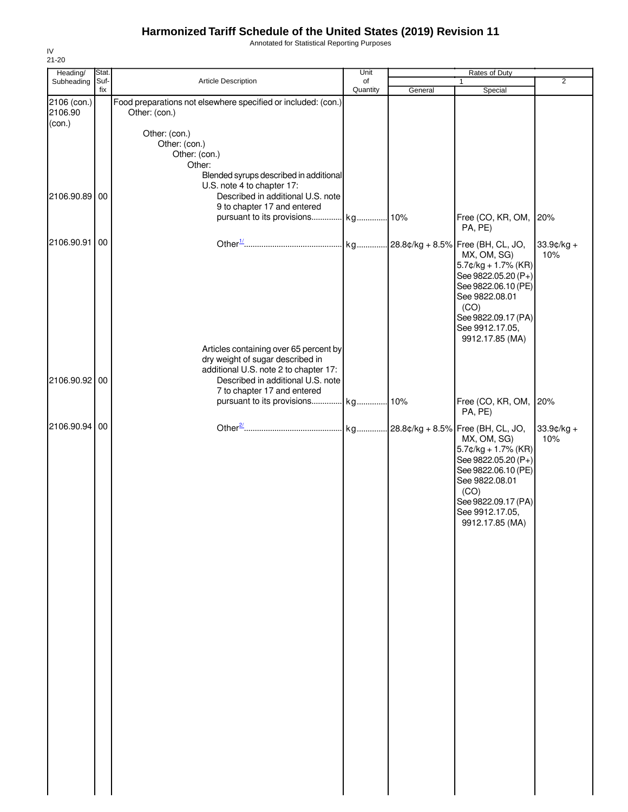Annotated for Statistical Reporting Purposes

| Heading/          | Stat. |                                                                           | Unit     | Rates of Duty |                                        |                |  |
|-------------------|-------|---------------------------------------------------------------------------|----------|---------------|----------------------------------------|----------------|--|
| Subheading        | Suf-  | Article Description                                                       | of       |               | 1                                      | $\overline{2}$ |  |
| 2106 (con.)       | fix   | Food preparations not elsewhere specified or included: (con.)             | Quantity | General       | Special                                |                |  |
| 2106.90<br>(con.) |       | Other: (con.)                                                             |          |               |                                        |                |  |
|                   |       | Other: (con.)                                                             |          |               |                                        |                |  |
|                   |       | Other: (con.)                                                             |          |               |                                        |                |  |
|                   |       | Other: (con.)<br>Other:                                                   |          |               |                                        |                |  |
|                   |       | Blended syrups described in additional<br>U.S. note 4 to chapter 17:      |          |               |                                        |                |  |
| 2106.90.89        | 00    | Described in additional U.S. note                                         |          |               |                                        |                |  |
|                   |       | 9 to chapter 17 and entered<br>pursuant to its provisions kg 10%          |          |               | Free (CO, KR, OM, 20%                  |                |  |
|                   |       |                                                                           |          |               | PA, PE)                                |                |  |
| 2106.90.91        | 00    |                                                                           |          |               |                                        | $33.9$ ¢/kg +  |  |
|                   |       |                                                                           |          |               | MX, OM, SG)<br>$5.7$ ¢/kg + 1.7% (KR)  | 10%            |  |
|                   |       |                                                                           |          |               | See 9822.05.20 (P+)                    |                |  |
|                   |       |                                                                           |          |               | See 9822.06.10 (PE)<br>See 9822.08.01  |                |  |
|                   |       |                                                                           |          |               | (CO)                                   |                |  |
|                   |       |                                                                           |          |               | See 9822.09.17 (PA)                    |                |  |
|                   |       |                                                                           |          |               | See 9912.17.05,<br>9912.17.85 (MA)     |                |  |
|                   |       | Articles containing over 65 percent by                                    |          |               |                                        |                |  |
|                   |       | dry weight of sugar described in<br>additional U.S. note 2 to chapter 17: |          |               |                                        |                |  |
| 2106.90.92 00     |       | Described in additional U.S. note                                         |          |               |                                        |                |  |
|                   |       | 7 to chapter 17 and entered                                               |          |               |                                        |                |  |
|                   |       |                                                                           |          |               | Free (CO, KR, OM, 20%<br>PA, PE)       |                |  |
| 2106.90.94        | 00    |                                                                           |          |               |                                        | $33.9$ ¢/kg +  |  |
|                   |       |                                                                           |          |               | MX, OM, SG)<br>$5.7$ ¢/kg + 1.7% (KR)  | 10%            |  |
|                   |       |                                                                           |          |               | See 9822.05.20 (P+)                    |                |  |
|                   |       |                                                                           |          |               | See 9822.06.10 (PE)<br>See 9822.08.01  |                |  |
|                   |       |                                                                           |          |               | (CO)                                   |                |  |
|                   |       |                                                                           |          |               | See 9822.09.17 (PA)<br>See 9912.17.05, |                |  |
|                   |       |                                                                           |          |               | 9912.17.85 (MA)                        |                |  |
|                   |       |                                                                           |          |               |                                        |                |  |
|                   |       |                                                                           |          |               |                                        |                |  |
|                   |       |                                                                           |          |               |                                        |                |  |
|                   |       |                                                                           |          |               |                                        |                |  |
|                   |       |                                                                           |          |               |                                        |                |  |
|                   |       |                                                                           |          |               |                                        |                |  |
|                   |       |                                                                           |          |               |                                        |                |  |
|                   |       |                                                                           |          |               |                                        |                |  |
|                   |       |                                                                           |          |               |                                        |                |  |
|                   |       |                                                                           |          |               |                                        |                |  |
|                   |       |                                                                           |          |               |                                        |                |  |
|                   |       |                                                                           |          |               |                                        |                |  |
|                   |       |                                                                           |          |               |                                        |                |  |
|                   |       |                                                                           |          |               |                                        |                |  |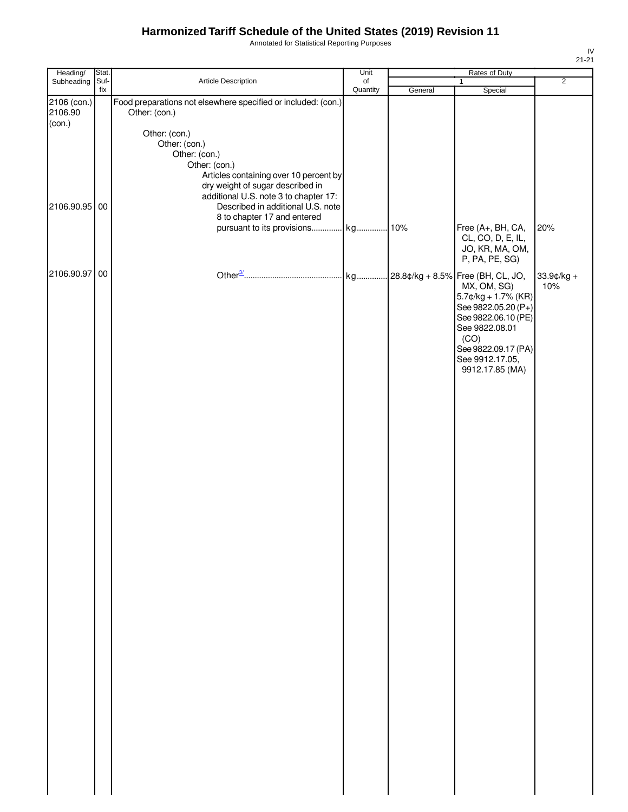Annotated for Statistical Reporting Purposes

| Heading/                | Stat.       |                                                                                                                                                                                                                                                                                           | Unit           | Rates of Duty |                                                                                                                                                                                                                    |                   |
|-------------------------|-------------|-------------------------------------------------------------------------------------------------------------------------------------------------------------------------------------------------------------------------------------------------------------------------------------------|----------------|---------------|--------------------------------------------------------------------------------------------------------------------------------------------------------------------------------------------------------------------|-------------------|
| Subheading              | Suf-<br>fix | Article Description                                                                                                                                                                                                                                                                       | of<br>Quantity | General       | 1<br>Special                                                                                                                                                                                                       | $\overline{2}$    |
| 2106 (con.)<br>2106.90  |             | Food preparations not elsewhere specified or included: (con.)<br>Other: (con.)                                                                                                                                                                                                            |                |               |                                                                                                                                                                                                                    |                   |
| (con.)<br>2106.90.95 00 |             | Other: (con.)<br>Other: (con.)<br>Other: (con.)<br>Other: (con.)<br>Articles containing over 10 percent by<br>dry weight of sugar described in<br>additional U.S. note 3 to chapter 17:<br>Described in additional U.S. note<br>8 to chapter 17 and entered<br>pursuant to its provisions | kg 10%         |               | Free (A+, BH, CA,                                                                                                                                                                                                  | 20%               |
|                         |             |                                                                                                                                                                                                                                                                                           |                |               | CL, CO, D, E, IL,<br>JO, KR, MA, OM,<br>P, PA, PE, SG)                                                                                                                                                             |                   |
| 2106.90.97 00           |             |                                                                                                                                                                                                                                                                                           |                |               | kg 28.8¢/kg + 8.5% Free (BH, CL, JO,<br>MX, OM, SG)<br>$5.7$ ¢/kg + 1.7% (KR)<br>See 9822.05.20 (P+)<br>See 9822.06.10 (PE)<br>See 9822.08.01<br>(CO)<br>See 9822.09.17 (PA)<br>See 9912.17.05,<br>9912.17.85 (MA) | 33.9¢/kg +<br>10% |
|                         |             |                                                                                                                                                                                                                                                                                           |                |               |                                                                                                                                                                                                                    |                   |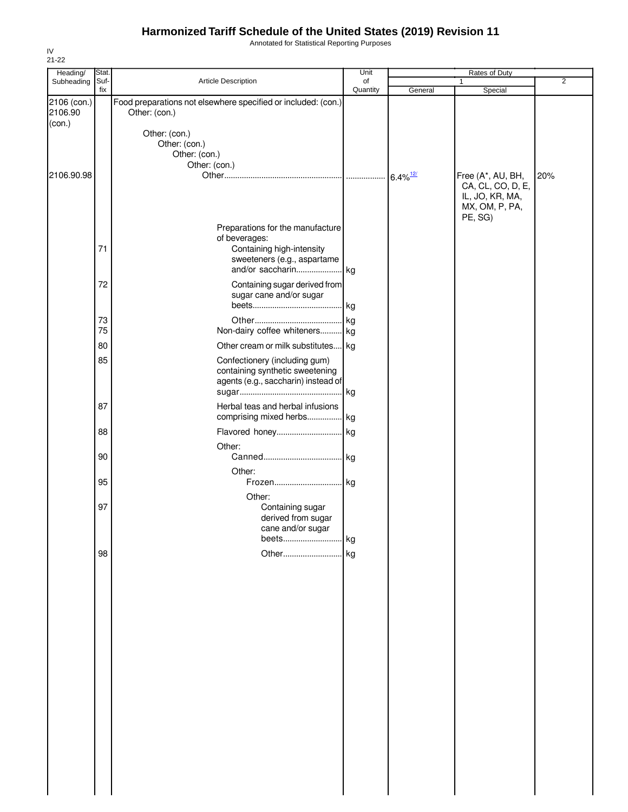Annotated for Statistical Reporting Purposes

| Heading/    | Stat. |                                                               | Unit     |                        | Rates of Duty     |     |
|-------------|-------|---------------------------------------------------------------|----------|------------------------|-------------------|-----|
| Subheading  | Suf-  | Article Description                                           | of       |                        | $\mathbf{1}$      | 2   |
|             | fix   |                                                               | Quantity | General                | Special           |     |
| 2106 (con.) |       | Food preparations not elsewhere specified or included: (con.) |          |                        |                   |     |
| 2106.90     |       | Other: (con.)                                                 |          |                        |                   |     |
| (con.)      |       | Other: (con.)                                                 |          |                        |                   |     |
|             |       |                                                               |          |                        |                   |     |
|             |       | Other: (con.)<br>Other: (con.)                                |          |                        |                   |     |
|             |       | Other: (con.)                                                 |          |                        |                   |     |
| 2106.90.98  |       |                                                               |          | $6.4\%$ <sup>12/</sup> | Free (A*, AU, BH, | 20% |
|             |       |                                                               |          |                        | CA, CL, CO, D, E, |     |
|             |       |                                                               |          |                        | IL, JO, KR, MA,   |     |
|             |       |                                                               |          |                        | MX, OM, P, PA,    |     |
|             |       |                                                               |          |                        | PE, SG)           |     |
|             |       | Preparations for the manufacture                              |          |                        |                   |     |
|             |       | of beverages:                                                 |          |                        |                   |     |
|             | 71    | Containing high-intensity                                     |          |                        |                   |     |
|             |       | sweeteners (e.g., aspartame                                   |          |                        |                   |     |
|             |       |                                                               |          |                        |                   |     |
|             |       |                                                               |          |                        |                   |     |
|             | 72    | Containing sugar derived from                                 |          |                        |                   |     |
|             |       | sugar cane and/or sugar                                       |          |                        |                   |     |
|             |       |                                                               |          |                        |                   |     |
|             | 73    |                                                               |          |                        |                   |     |
|             | 75    | Non-dairy coffee whiteners kg                                 |          |                        |                   |     |
|             | 80    | Other cream or milk substitutes kg                            |          |                        |                   |     |
|             |       |                                                               |          |                        |                   |     |
|             | 85    | Confectionery (including gum)                                 |          |                        |                   |     |
|             |       | containing synthetic sweetening                               |          |                        |                   |     |
|             |       | agents (e.g., saccharin) instead of                           |          |                        |                   |     |
|             |       |                                                               |          |                        |                   |     |
|             | 87    | Herbal teas and herbal infusions                              |          |                        |                   |     |
|             |       | comprising mixed herbs kg                                     |          |                        |                   |     |
|             | 88    |                                                               |          |                        |                   |     |
|             |       |                                                               |          |                        |                   |     |
|             |       | Other:                                                        |          |                        |                   |     |
|             | 90    |                                                               |          |                        |                   |     |
|             |       | Other:                                                        |          |                        |                   |     |
|             | 95    | Frozen kg                                                     |          |                        |                   |     |
|             |       | Other:                                                        |          |                        |                   |     |
|             | 97    | Containing sugar                                              |          |                        |                   |     |
|             |       | derived from sugar                                            |          |                        |                   |     |
|             |       | cane and/or sugar                                             |          |                        |                   |     |
|             |       |                                                               |          |                        |                   |     |
|             |       |                                                               |          |                        |                   |     |
|             | 98    |                                                               |          |                        |                   |     |
|             |       |                                                               |          |                        |                   |     |
|             |       |                                                               |          |                        |                   |     |
|             |       |                                                               |          |                        |                   |     |
|             |       |                                                               |          |                        |                   |     |
|             |       |                                                               |          |                        |                   |     |
|             |       |                                                               |          |                        |                   |     |
|             |       |                                                               |          |                        |                   |     |
|             |       |                                                               |          |                        |                   |     |
|             |       |                                                               |          |                        |                   |     |
|             |       |                                                               |          |                        |                   |     |
|             |       |                                                               |          |                        |                   |     |
|             |       |                                                               |          |                        |                   |     |
|             |       |                                                               |          |                        |                   |     |
|             |       |                                                               |          |                        |                   |     |
|             |       |                                                               |          |                        |                   |     |
|             |       |                                                               |          |                        |                   |     |
|             |       |                                                               |          |                        |                   |     |
|             |       |                                                               |          |                        |                   |     |
|             |       |                                                               |          |                        |                   |     |
|             |       |                                                               |          |                        |                   |     |
|             |       |                                                               |          |                        |                   |     |
|             |       |                                                               |          |                        |                   |     |